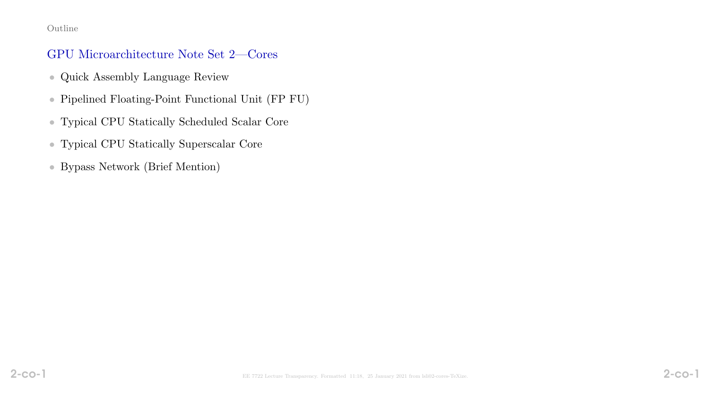#### Outline

#### GPU Microarchitecture Note Set 2—Cores

- Quick Assembly Language Review
- Pipelined Floating-Point Functional Unit (FP FU)
- Typical CPU Statically Scheduled Scalar Core
- Typical CPU Statically Superscalar Core
- Bypass Network (Brief Mention)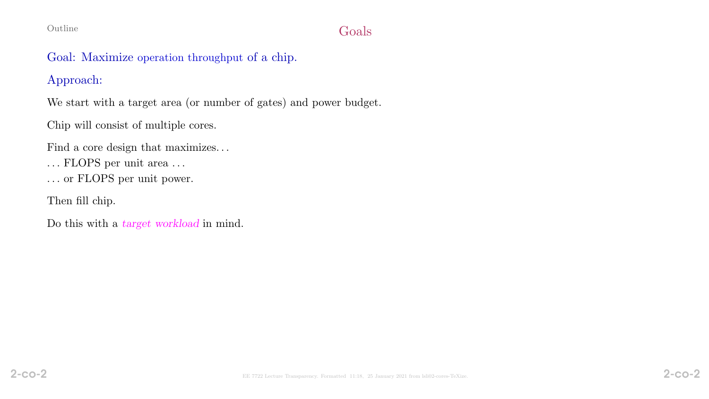# Outline Goals

# Goal: Maximize operation throughput of a chip.

# Approach:

We start with a target area (or number of gates) and power budget.

Chip will consist of multiple cores.

Find a core design that maximizes. . .

- $\dots$  FLOPS per unit area  $\dots$
- . . . or FLOPS per unit power.

Then fill chip.

Do this with a target workload in mind.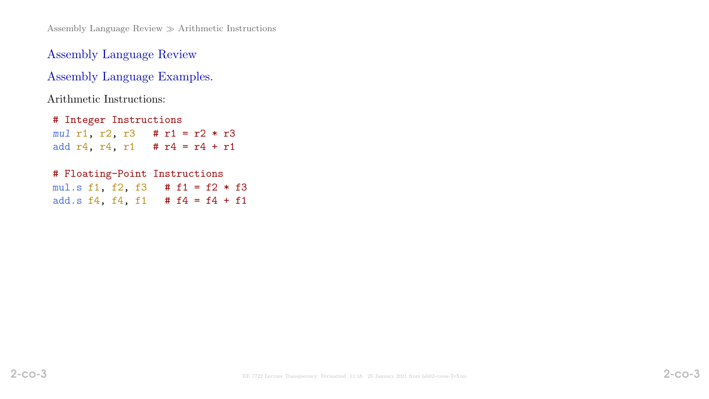Assembly Language Review  $\gg$  Arithmetic Instructions

Assembly Language Review

Assembly Language Examples.

Arithmetic Instructions:

# Integer Instructions mul r1, r2, r3 # r1 = r2 \* r3 add  $r4$ ,  $r4$ ,  $r1$  #  $r4 = r4 + r1$ 

#### # Floating-Point Instructions

mul.s f1, f2, f3 # f1 = f2 \* f3 add.s  $f4$ ,  $f4$ ,  $f1$  #  $f4 = f4 + f1$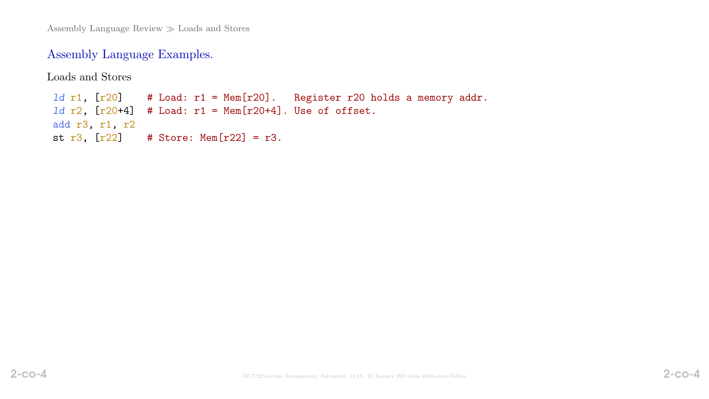## Assembly Language Examples.

Loads and Stores 1d r1,  $[r20]$  # Load: r1 = Mem $[r20]$ . Register r20 holds a memory addr. 1d  $r2$ ,  $[r20+4]$  # Load:  $r1$  = Mem $[r20+4]$ . Use of offset. add r3, r1, r2 st  $r3$ ,  $[r22]$  # Store: Mem $[r22]$  =  $r3$ .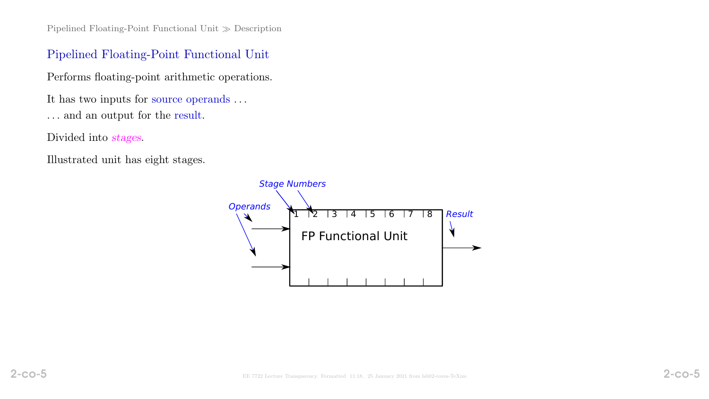#### Pipelined Floating-Point Functional Unit

Performs floating-point arithmetic operations.

It has two inputs for source operands . . .

 $\ldots$  and an output for the result.

Divided into stages.

Illustrated unit has eight stages.

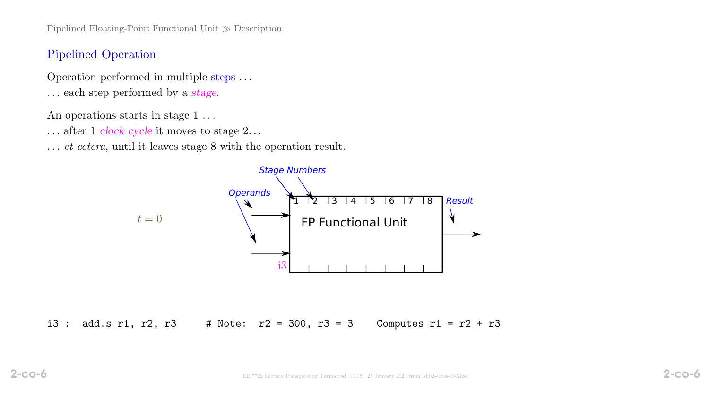#### Pipelined Operation

Operation performed in multiple steps . . . . . . each step performed by a stage.

An operations starts in stage 1...

. . . after 1 clock cycle it moves to stage 2. . .

... *et cetera*, until it leaves stage 8 with the operation result.



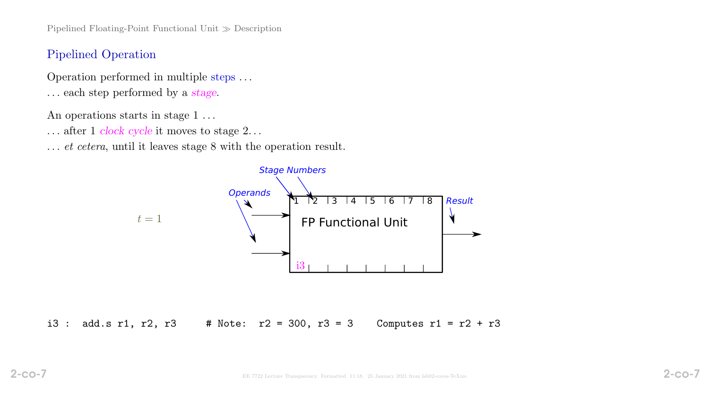#### Pipelined Operation

Operation performed in multiple steps . . . . . . each step performed by a stage.

An operations starts in stage 1...

. . . after 1 clock cycle it moves to stage 2. . .

... *et cetera*, until it leaves stage 8 with the operation result.



i3 : add.s r1, r2, r3 # Note:  $r2 = 300$ ,  $r3 = 3$  Computes r1 =  $r2 + r3$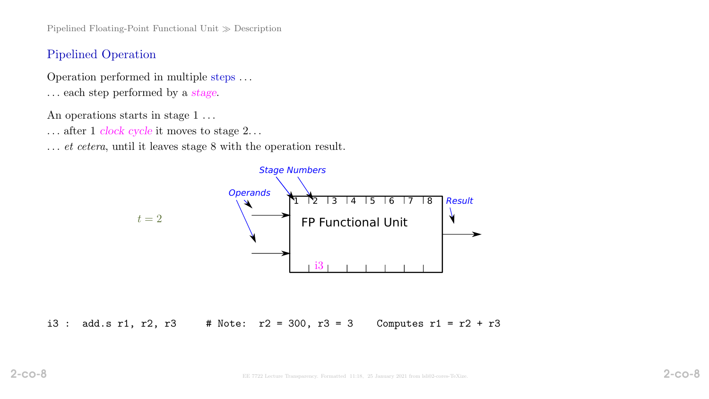#### Pipelined Operation

Operation performed in multiple steps . . . . . . each step performed by a stage.

An operations starts in stage 1...

. . . after 1 clock cycle it moves to stage 2. . .

... *et cetera*, until it leaves stage 8 with the operation result.



i3 : add.s r1, r2, r3 # Note:  $r2 = 300$ , r3 = 3 Computes r1 = r2 + r3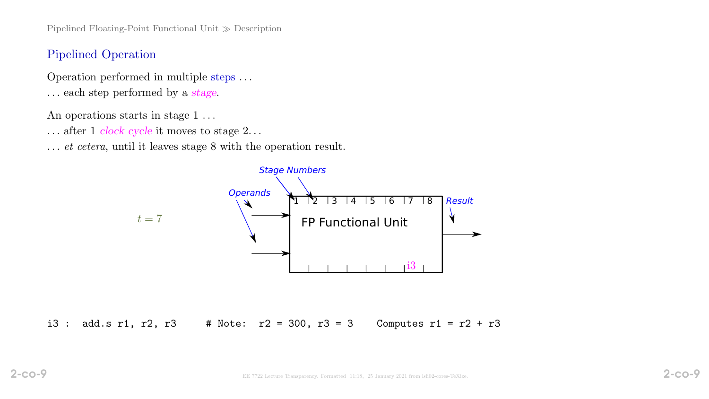#### Pipelined Operation

Operation performed in multiple steps . . . . . . each step performed by a stage.

An operations starts in stage 1...

. . . after 1 clock cycle it moves to stage 2. . .

... *et cetera*, until it leaves stage 8 with the operation result.



i3 : add.s r1, r2, r3 # Note:  $r2 = 300$ ,  $r3 = 3$  Computes r1 =  $r2 + r3$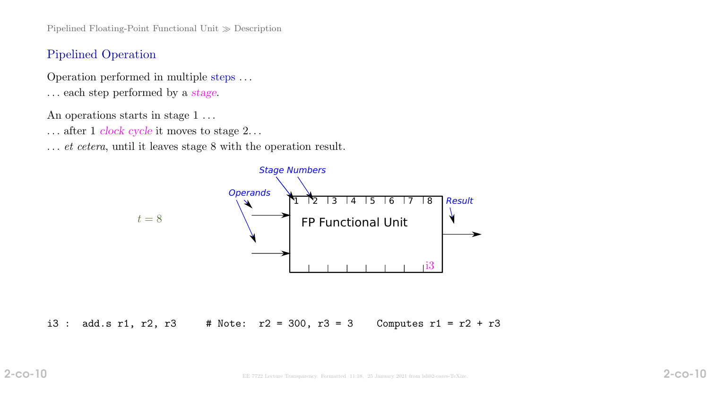#### Pipelined Operation

Operation performed in multiple steps . . . . . . each step performed by a stage.

An operations starts in stage 1...

. . . after 1 clock cycle it moves to stage 2. . .

... *et cetera*, until it leaves stage 8 with the operation result.



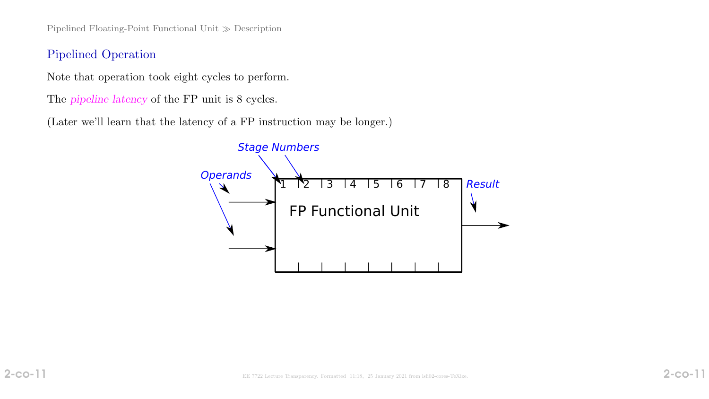#### Pipelined Operation

Note that operation took eight cycles to perform.

The pipeline latency of the FP unit is 8 cycles.

(Later we'll learn that the latency of a FP instruction may be longer.)

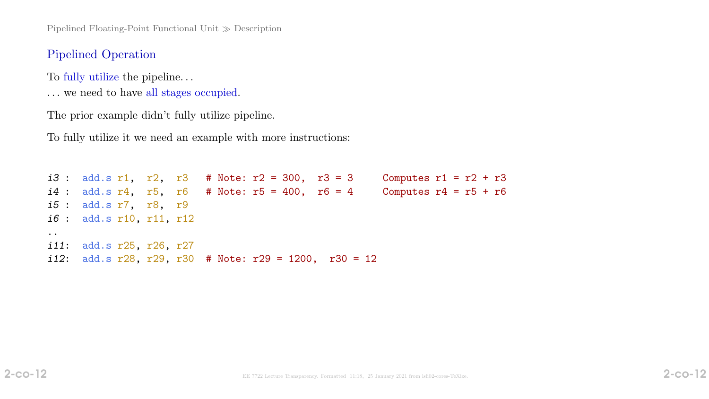#### Pipelined Operation

To fully utilize the pipeline. . .

. . . we need to have all stages occupied.

The prior example didn't fully utilize pipeline.

To fully utilize it we need an example with more instructions:

```
i3 : add.s r1, r2, r3 # Note: r2 = 300, r3 = 3 Computes r1 = r2 + r3
i4 : add.s r4, r5, r6 # Note: r5 = 400, r6 = 4 Computes r4 = r5 + r6
i5 : add.s r7, r8, r9
i6 : add.s r10, r11, r12
..
i11: add.s r25, r26, r27
i12: add.s r28, r29, r30 # Note: r29 = 1200, r30 = 12
```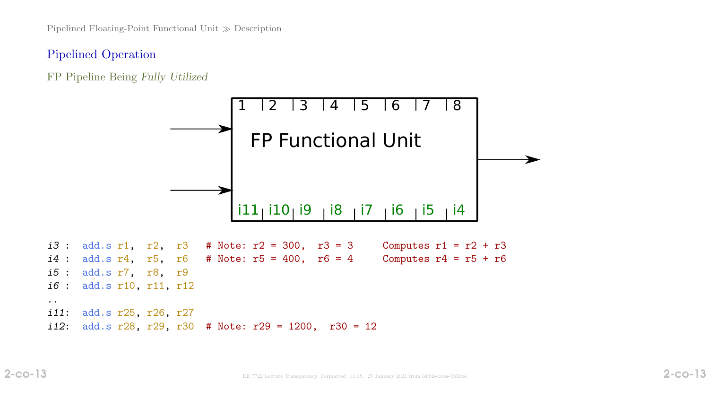## Pipelined Operation

FP Pipeline Being Fully Utilized



i11: add.s r25, r26, r27 i12: add.s  $r28$ ,  $r29$ ,  $r30$  # Note:  $r29 = 1200$ ,  $r30 = 12$ 

..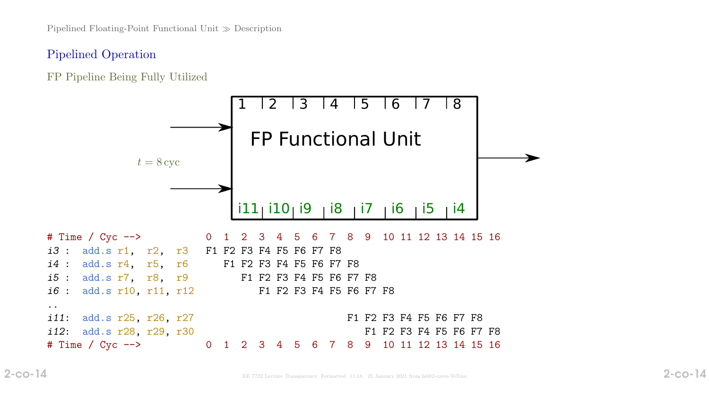## Pipelined Operation

FP Pipeline Being Fully Utilized

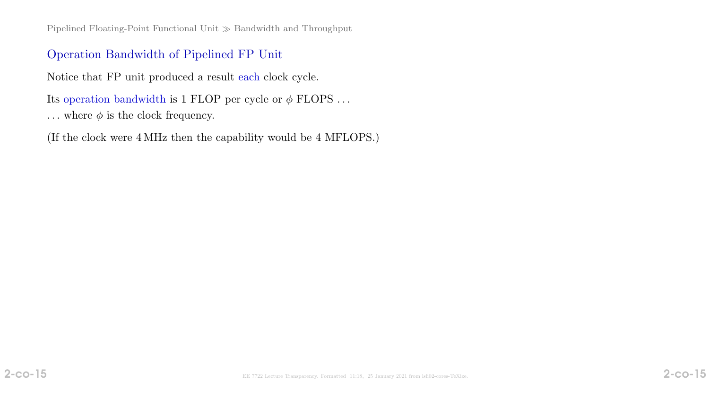Pipelined Floating-Point Functional Unit  $\gg$  Bandwidth and Throughput

#### Operation Bandwidth of Pipelined FP Unit

Notice that FP unit produced a result each clock cycle.

Its operation bandwidth is 1 FLOP per cycle or  $\phi$  FLOPS ...

... where  $\phi$  is the clock frequency.

(If the clock were 4 MHz then the capability would be 4 MFLOPS.)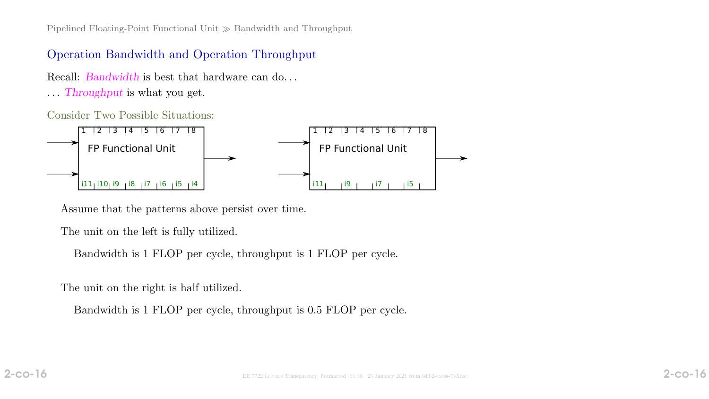Pipelined Floating-Point Functional Unit  $\gg$  Bandwidth and Throughput

#### Operation Bandwidth and Operation Throughput

Recall: *Bandwidth* is best that hardware can do...

. . . Throughput is what you get.

Consider Two Possible Situations:



Assume that the patterns above persist over time.

The unit on the left is fully utilized.

Bandwidth is 1 FLOP per cycle, throughput is 1 FLOP per cycle.

The unit on the right is half utilized.

Bandwidth is 1 FLOP per cycle, throughput is 0.5 FLOP per cycle.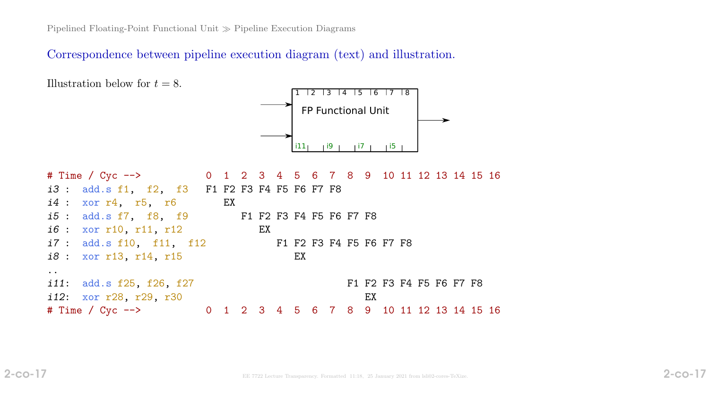Pipelined Floating-Point Functional Unit  $\gg$  Pipeline Execution Diagrams

Correspondence between pipeline execution diagram (text) and illustration.

Illustration below for  $t = 8$ .



| # Time / Cyc --> 0 1 2 3 4 5 6 7 8 9 10 11 12 13 14 15 16 |  |    |    |  |                         |  |  |  |  |
|-----------------------------------------------------------|--|----|----|--|-------------------------|--|--|--|--|
| i3 : add.s f1, f2, f3 F1 F2 F3 F4 F5 F6 F7 F8             |  |    |    |  |                         |  |  |  |  |
| $i4: xor r4, r5, r6$ EX                                   |  |    |    |  |                         |  |  |  |  |
| <i>i5</i> : add.s f7, f8, f9 F1 F2 F3 F4 F5 F6 F7 F8      |  |    |    |  |                         |  |  |  |  |
| <i>i6</i> : xor r10, r11, r12                             |  | EX |    |  |                         |  |  |  |  |
| <i>i7</i> : add.s f10, f11, f12 F1 F2 F3 F4 F5 F6 F7 F8   |  |    |    |  |                         |  |  |  |  |
| <i>i8</i> : xor r13, r14, r15                             |  |    | EX |  |                         |  |  |  |  |
|                                                           |  |    |    |  |                         |  |  |  |  |
| <i>i11</i> : add.s f25, f26, f27                          |  |    |    |  | F1 F2 F3 F4 F5 F6 F7 F8 |  |  |  |  |
| i12: xor r28, r29, r30                                    |  |    |    |  | EX                      |  |  |  |  |
| # Time / Cyc --> 0 1 2 3 4 5 6 7 8 9 10 11 12 13 14 15 16 |  |    |    |  |                         |  |  |  |  |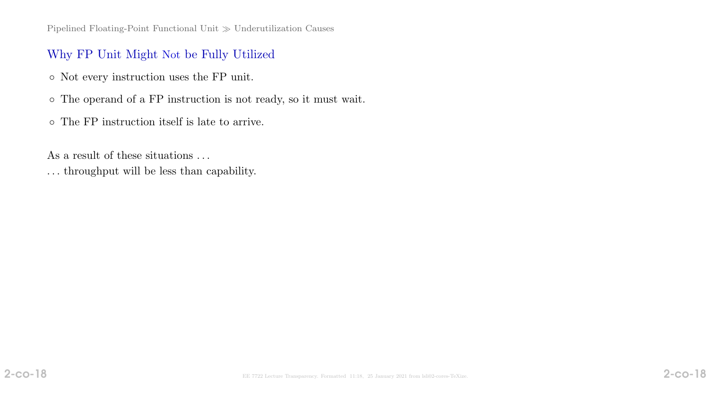# Why FP Unit Might Not be Fully Utilized

- Not every instruction uses the FP unit.
- The operand of a FP instruction is not ready, so it must wait.
- The FP instruction itself is late to arrive.

As a result of these situations ...

. . . throughput will be less than capability.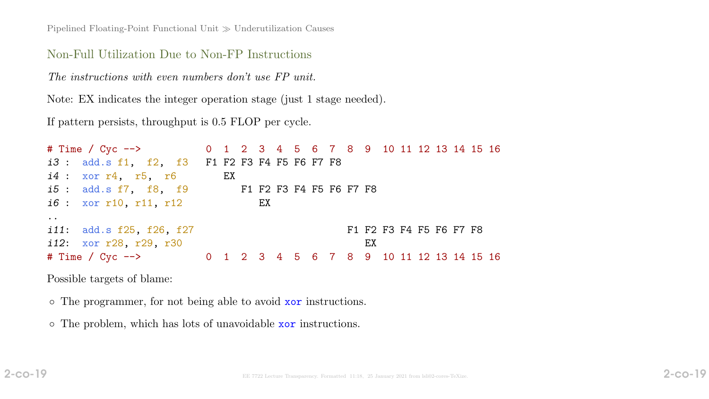Pipelined Floating-Point Functional Unit  $\gg$  Underutilization Causes

#### Non-Full Utilization Due to Non-FP Instructions

The instructions with even numbers don't use FP unit.

Note: EX indicates the integer operation stage (just 1 stage needed).

If pattern persists, throughput is 0.5 FLOP per cycle.

| # Time / Cyc --> 0 1 2 3 4 5 6 7 8 9 10 11 12 13 14 15 16 |    |    |  |  |                         |  |  |  |  |
|-----------------------------------------------------------|----|----|--|--|-------------------------|--|--|--|--|
| i3 : add.s f1, f2, f3 F1 F2 F3 F4 F5 F6 F7 F8             |    |    |  |  |                         |  |  |  |  |
| i4: xor r4, r5, r6                                        | EX |    |  |  |                         |  |  |  |  |
| <i>i5</i> : add.s f7, f8, f9 F1 F2 F3 F4 F5 F6 F7 F8      |    |    |  |  |                         |  |  |  |  |
| <i>i6</i> : xor r10, r11, r12                             |    | EX |  |  |                         |  |  |  |  |
| $\ddot{\phantom{0}}$                                      |    |    |  |  |                         |  |  |  |  |
| <i>i11</i> : add.s f25, f26, f27                          |    |    |  |  | F1 F2 F3 F4 F5 F6 F7 F8 |  |  |  |  |
| i12: xor r28, r29, r30                                    |    |    |  |  | EX                      |  |  |  |  |
| # Time / Cyc --> 0 1 2 3 4 5 6 7 8 9 10 11 12 13 14 15 16 |    |    |  |  |                         |  |  |  |  |

Possible targets of blame:

◦ The programmer, for not being able to avoid xor instructions.

◦ The problem, which has lots of unavoidable xor instructions.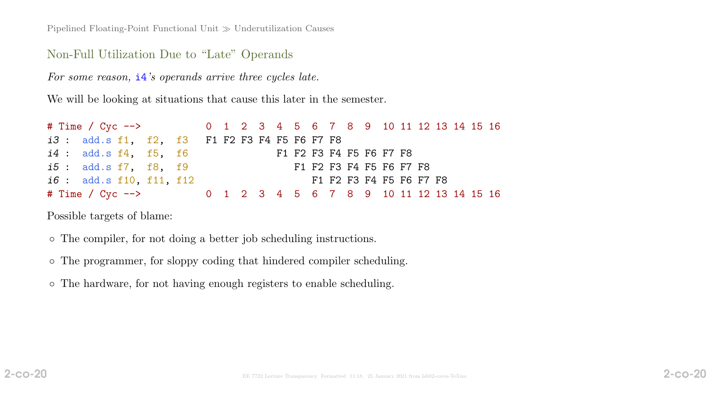Pipelined Floating-Point Functional Unit  $\gg$  Underutilization Causes

#### Non-Full Utilization Due to "Late" Operands

For some reason,  $i4$ 's operands arrive three cycles late.

We will be looking at situations that cause this later in the semester.

| # Time / Cyc --> 0 1 2 3 4 5 6 7 8 9 10 11 12 13 14 15 16 |  |                                                      |  |  |  |                         |  |  |  |  |  |                         |  |  |
|-----------------------------------------------------------|--|------------------------------------------------------|--|--|--|-------------------------|--|--|--|--|--|-------------------------|--|--|
|                                                           |  | <i>i3</i> : add.s f1, f2, f3 F1 F2 F3 F4 F5 F6 F7 F8 |  |  |  |                         |  |  |  |  |  |                         |  |  |
|                                                           |  | <i>i4</i> : add.s f4, f5, f6                         |  |  |  | F1 F2 F3 F4 F5 F6 F7 F8 |  |  |  |  |  |                         |  |  |
|                                                           |  | <i>i5</i> : add.s f7, f8, f9                         |  |  |  | F1 F2 F3 F4 F5 F6 F7 F8 |  |  |  |  |  |                         |  |  |
|                                                           |  | <i>i6</i> : add.s f10, f11, f12                      |  |  |  |                         |  |  |  |  |  | F1 F2 F3 F4 F5 F6 F7 F8 |  |  |
| # Time / Cyc --> 0 1 2 3 4 5 6 7 8 9 10 11 12 13 14 15 16 |  |                                                      |  |  |  |                         |  |  |  |  |  |                         |  |  |

Possible targets of blame:

- The compiler, for not doing a better job scheduling instructions.
- The programmer, for sloppy coding that hindered compiler scheduling.
- The hardware, for not having enough registers to enable scheduling.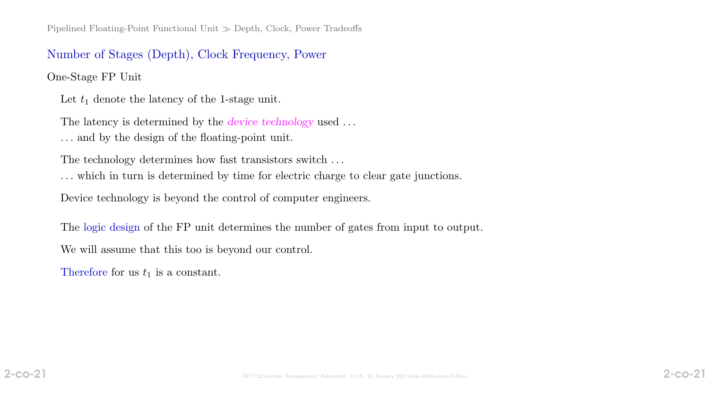#### Number of Stages (Depth), Clock Frequency, Power

One-Stage FP Unit

Let  $t_1$  denote the latency of the 1-stage unit.

The latency is determined by the *device technology* used ... . . . and by the design of the floating-point unit.

The technology determines how fast transistors switch ...

. . . which in turn is determined by time for electric charge to clear gate junctions.

Device technology is beyond the control of computer engineers.

The logic design of the FP unit determines the number of gates from input to output.

We will assume that this too is beyond our control.

Therefore for us  $t_1$  is a constant.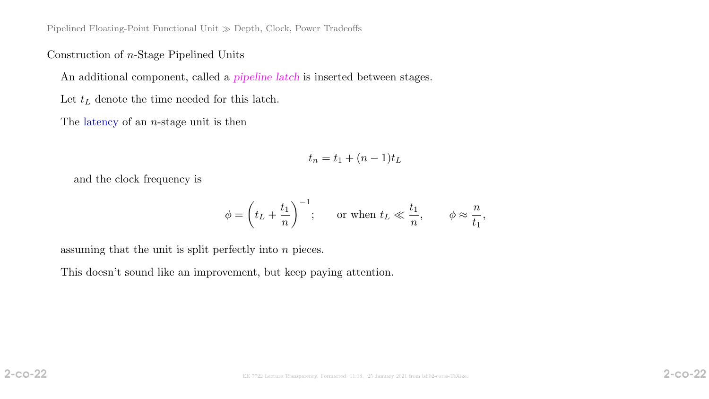Construction of n-Stage Pipelined Units

An additional component, called a pipeline latch is inserted between stages.

Let  $t_L$  denote the time needed for this latch.

The latency of an  $n$ -stage unit is then

$$
t_n = t_1 + (n-1)t_L
$$

and the clock frequency is

$$
\phi = \left(t_L + \frac{t_1}{n}\right)^{-1}; \quad \text{or when } t_L \ll \frac{t_1}{n}, \quad \phi \approx \frac{n}{t_1},
$$

assuming that the unit is split perfectly into  $n$  pieces.

This doesn't sound like an improvement, but keep paying attention.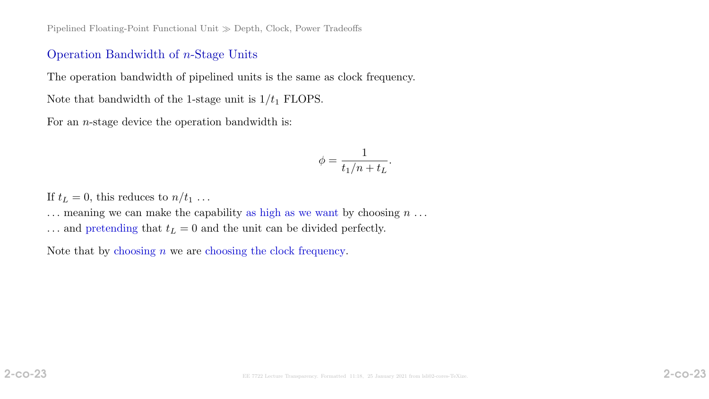#### Operation Bandwidth of n-Stage Units

The operation bandwidth of pipelined units is the same as clock frequency.

Note that bandwidth of the 1-stage unit is  $1/t_1$  FLOPS.

For an *n*-stage device the operation bandwidth is:

$$
\phi = \frac{1}{t_1/n + t_L}.
$$

If  $t_L = 0$ , this reduces to  $n/t_1$ ...

 $\ldots$  meaning we can make the capability as high as we want by choosing  $n \ldots$ 

 $\ldots$  and pretending that  $t_L = 0$  and the unit can be divided perfectly.

Note that by choosing  $n$  we are choosing the clock frequency.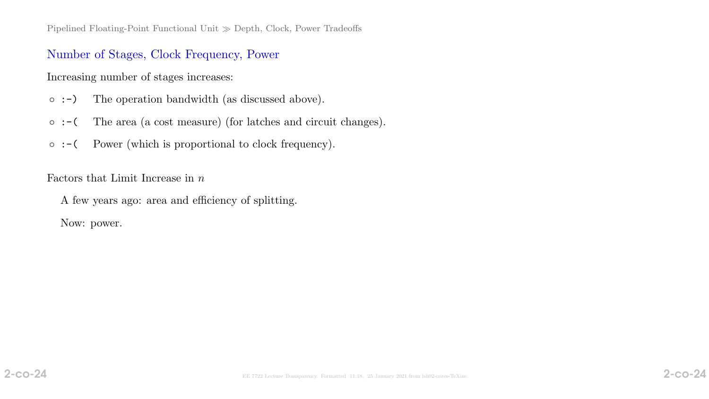#### Number of Stages, Clock Frequency, Power

Increasing number of stages increases:

- :-) The operation bandwidth (as discussed above).
- :-( The area (a cost measure) (for latches and circuit changes).
- :-( Power (which is proportional to clock frequency).

Factors that Limit Increase in  $n$ 

A few years ago: area and efficiency of splitting.

Now: power.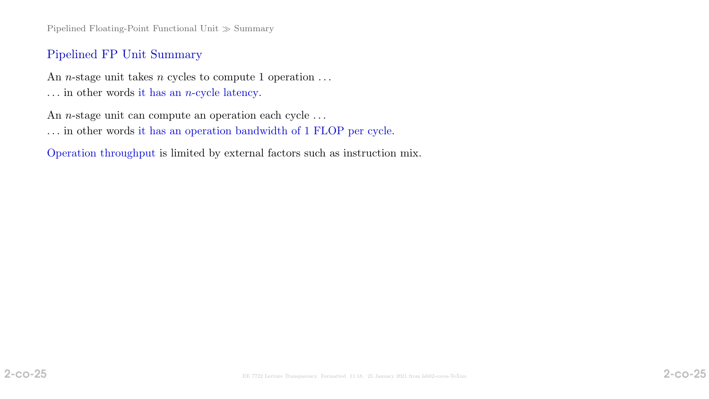Pipelined Floating-Point Functional Unit  $\gg$  Summary

#### Pipelined FP Unit Summary

An *n*-stage unit takes *n* cycles to compute 1 operation  $\dots$ ... in other words it has an  $n$ -cycle latency.

An *n*-stage unit can compute an operation each cycle ...

. . . in other words it has an operation bandwidth of 1 FLOP per cycle.

Operation throughput is limited by external factors such as instruction mix.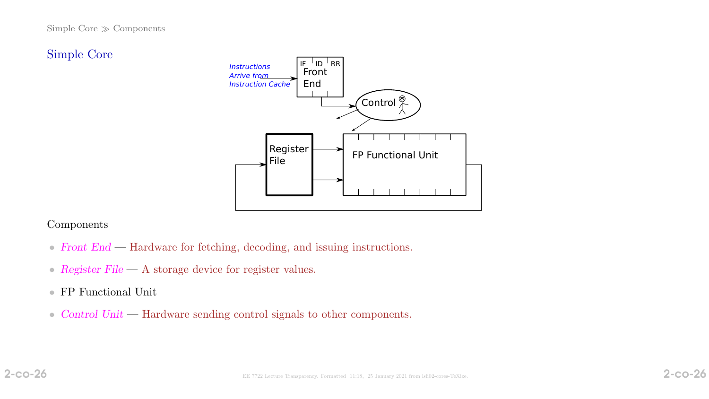#### Simple Core  $\gg$  Components

## Simple Core



#### Components

- Front End Hardware for fetching, decoding, and issuing instructions.
- Register File A storage device for register values.
- FP Functional Unit
- Control Unit Hardware sending control signals to other components.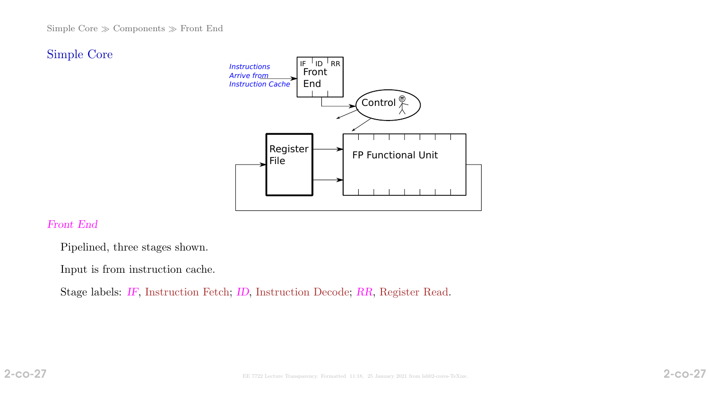## Simple Core



#### Front End

Pipelined, three stages shown.

Input is from instruction cache.

Stage labels: IF, Instruction Fetch; ID, Instruction Decode; RR, Register Read.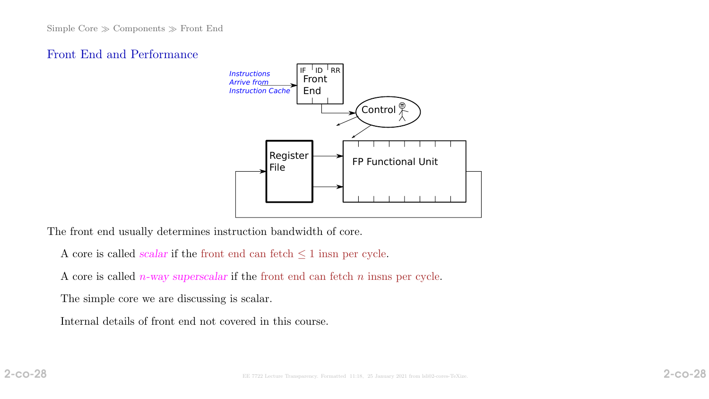#### Front End and Performance



The front end usually determines instruction bandwidth of core.

- A core is called *scalar* if the front end can fetch  $\leq 1$  insn per cycle.
- A core is called  $n$ -way superscalar if the front end can fetch  $n$  insns per cycle.

The simple core we are discussing is scalar.

Internal details of front end not covered in this course.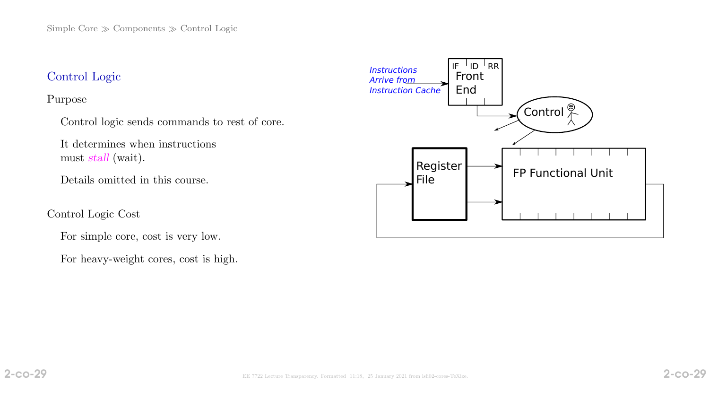# Control Logic

#### Purpose

Control logic sends commands to rest of core.

It determines when instructions must stall (wait).

Details omitted in this course.

#### Control Logic Cost

For simple core, cost is very low.

For heavy-weight cores, cost is high.

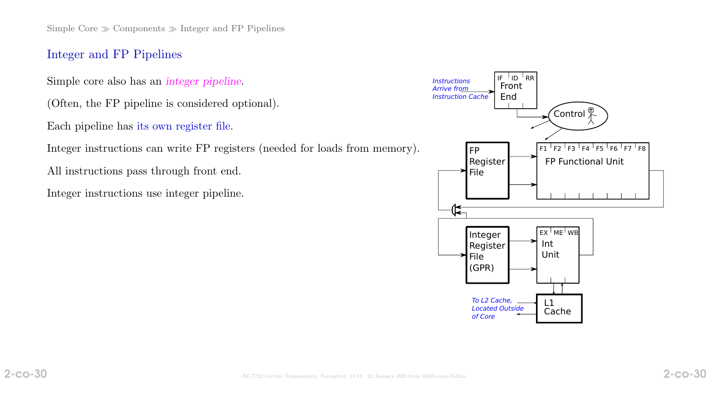Simple Core  $\gg$  Components  $\gg$  Integer and FP Pipelines

#### Integer and FP Pipelines

Simple core also has an integer pipeline.

(Often, the FP pipeline is considered optional).

Each pipeline has its own register file.

Integer instructions can write FP registers (needed for loads from memory).

All instructions pass through front end.

Integer instructions use integer pipeline.

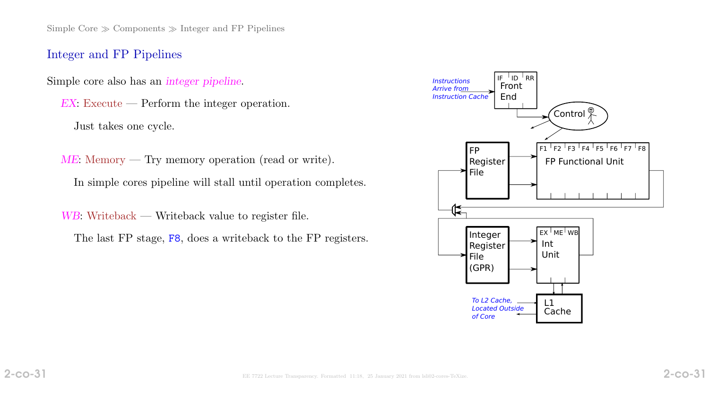Simple Core  $\gg$  Components  $\gg$  Integer and FP Pipelines

#### Integer and FP Pipelines

Simple core also has an integer pipeline.

EX: Execute — Perform the integer operation. Just takes one cycle.

ME: Memory — Try memory operation (read or write). In simple cores pipeline will stall until operation completes.

WB: Writeback — Writeback value to register file. The last FP stage, F8, does a writeback to the FP registers.

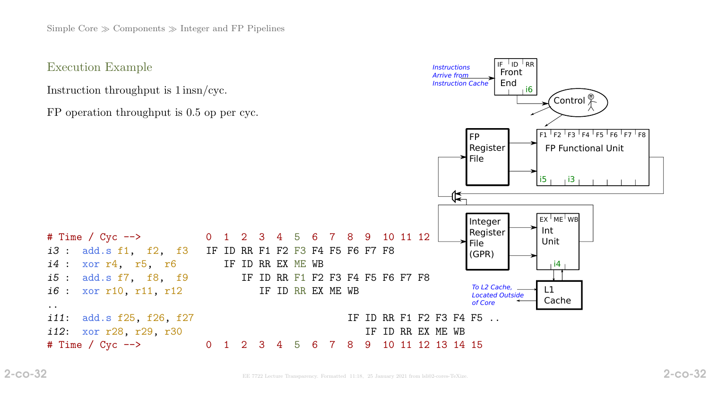Execution Example

Instruction throughput is 1 insn/cyc.

FP operation throughput is 0.5 op per cyc.



..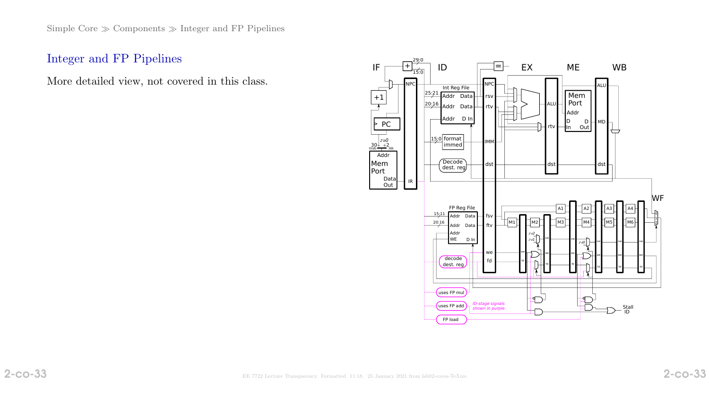## Integer and FP Pipelines

More detailed view, not covered in this class.

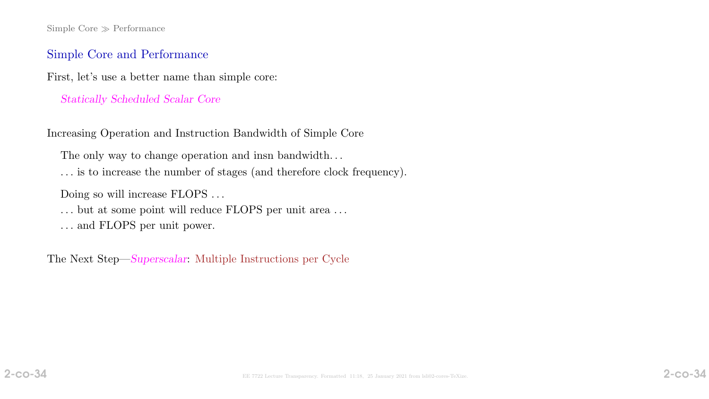Simple Core  $\gg$  Performance

#### Simple Core and Performance

First, let's use a better name than simple core:

#### Statically Scheduled Scalar Core

Increasing Operation and Instruction Bandwidth of Simple Core

The only way to change operation and insn bandwidth. . .

. . . is to increase the number of stages (and therefore clock frequency).

Doing so will increase FLOPS . . .

 $\ldots$  but at some point will reduce FLOPS per unit area  $\ldots$ 

. . . and FLOPS per unit power.

The Next Step—Superscalar: Multiple Instructions per Cycle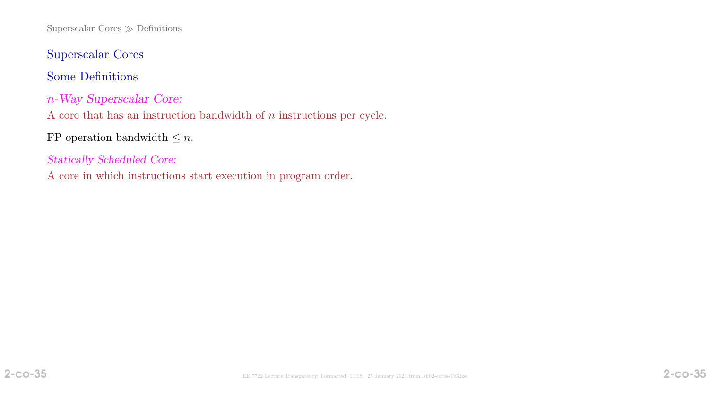Superscalar Cores  $\gg$  Definitions

Superscalar Cores

Some Definitions

n-Way Superscalar Core:

A core that has an instruction bandwidth of n instructions per cycle.

FP operation bandwidth  $\leq n$ .

Statically Scheduled Core:

A core in which instructions start execution in program order.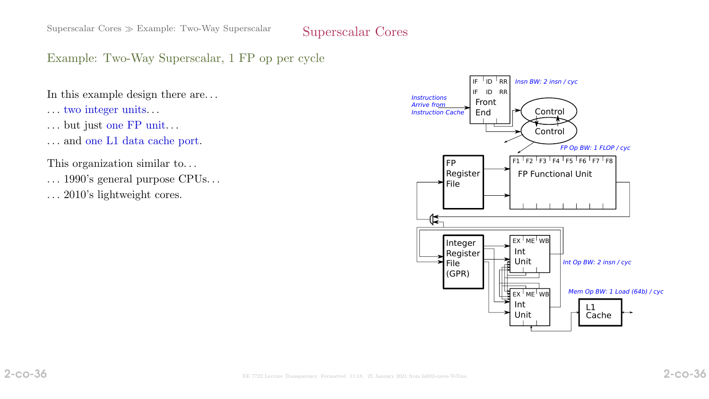Example: Two-Way Superscalar, 1 FP op per cycle

In this example design there are. . .

- . . . two integer units. . .
- . . . but just one FP unit. . .
- . . . and one L1 data cache port.

This organization similar to. . .

- . . . 1990's general purpose CPUs. . .
- $\ldots$  2010's lightweight cores.

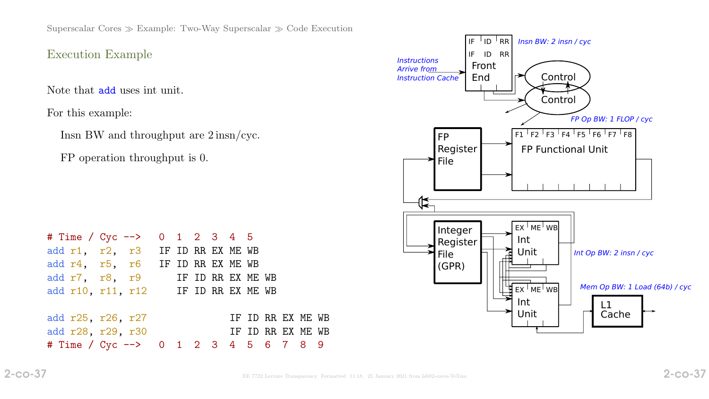Superscalar Cores  $\gg$  Example: Two-Way Superscalar  $\gg$  Code Execution

### Execution Example

Note that add uses int unit.

For this example:

Insn BW and throughput are 2 insn/cyc.

FP operation throughput is 0.



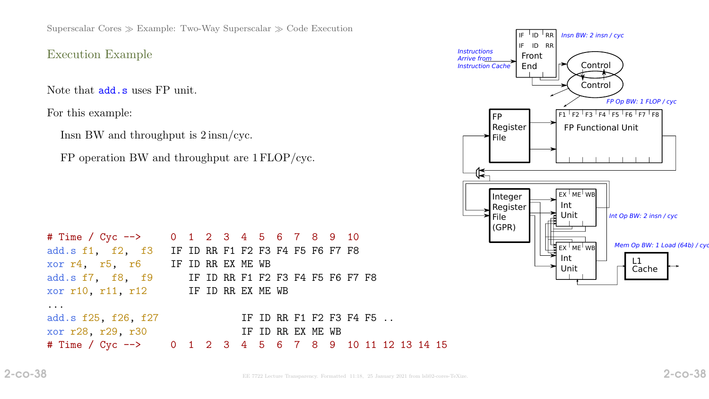Superscalar Cores  $\gg$  Example: Two-Way Superscalar  $\gg$  Code Execution

#### Execution Example

Note that add.s uses FP unit.

For this example:

Insn BW and throughput is 2 insn/cyc.

FP operation BW and throughput are 1 FLOP/cyc.

| # Time / Cyc --> 0 1 2 3 4 5 6 7 8 9 10                |  |  |  |                         |  |  |  |  |  |
|--------------------------------------------------------|--|--|--|-------------------------|--|--|--|--|--|
| add.s f1, f2, f3 IF ID RR F1 F2 F3 F4 F5 F6 F7 F8      |  |  |  |                         |  |  |  |  |  |
| xor r4, r5, r6 IF ID RR EX ME WB                       |  |  |  |                         |  |  |  |  |  |
| add.s f7, f8, f9 IF ID RR F1 F2 F3 F4 F5 F6 F7 F8      |  |  |  |                         |  |  |  |  |  |
| xor r10, r11, r12 IF ID RR EX ME WB                    |  |  |  |                         |  |  |  |  |  |
|                                                        |  |  |  |                         |  |  |  |  |  |
| add.s f25, f26, f27                                    |  |  |  | IF ID RR F1 F2 F3 F4 F5 |  |  |  |  |  |
| xor r28, r29, r30                                      |  |  |  | IF ID RR EX ME WB       |  |  |  |  |  |
| # Time / Cyc --> 0 1 2 3 4 5 6 7 8 9 10 11 12 13 14 15 |  |  |  |                         |  |  |  |  |  |

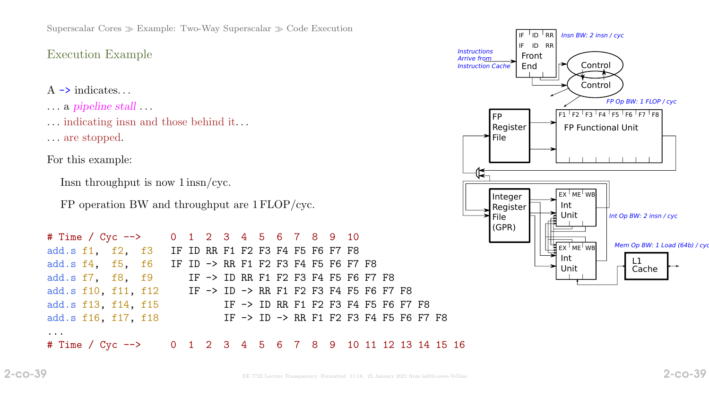Superscalar Cores  $\gg$  Example: Two-Way Superscalar  $\gg$  Code Execution

## Execution Example

- $A \rightarrow$  indicates...
- . . . a pipeline stall . . .
- . . . indicating insn and those behind it. . .
- . . . are stopped.

For this example:

```
Insn throughput is now 1 insn/cyc.
```
FP operation BW and throughput are 1 FLOP/cyc.

| # Time / Cyc --> 0 1 2 3 4 5 6 7 8 9 10                                                             |  |  |  |  |  |  |  |                                        |  |  |
|-----------------------------------------------------------------------------------------------------|--|--|--|--|--|--|--|----------------------------------------|--|--|
| add.s f1, f2, f3 IF ID RR F1 F2 F3 F4 F5 F6 F7 F8                                                   |  |  |  |  |  |  |  |                                        |  |  |
| add.s $f4$ , $f5$ , $f6$ IF ID $\rightarrow$ RR F1 F2 F3 F4 F5 F6 F7 F8                             |  |  |  |  |  |  |  |                                        |  |  |
| add.s f7, f8, f9 IF -> ID RR F1 F2 F3 F4 F5 F6 F7 F8                                                |  |  |  |  |  |  |  |                                        |  |  |
| add.s f10, f11, f12 IF $\rightarrow$ ID $\rightarrow$ RR F1 F2 F3 F4 F5 F6 F7 F8                    |  |  |  |  |  |  |  |                                        |  |  |
| add.s f13, f14, f15                                                                                 |  |  |  |  |  |  |  | IF -> ID RR F1 F2 F3 F4 F5 F6 F7 F8    |  |  |
| add.s f16, f17, f18                                                                                 |  |  |  |  |  |  |  | IF -> ID -> RR F1 F2 F3 F4 F5 F6 F7 F8 |  |  |
| $\bullet\quad\bullet\quad\bullet\quad$<br># Time / Cyc --> 0 1 2 3 4 5 6 7 8 9 10 11 12 13 14 15 16 |  |  |  |  |  |  |  |                                        |  |  |

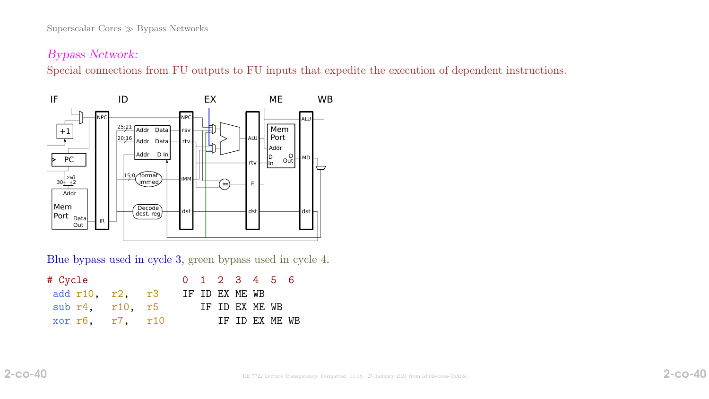## Bypass Network:

Special connections from FU outputs to FU inputs that expedite the execution of dependent instructions.



Blue bypass used in cycle 3, green bypass used in cycle 4.

| # Cycle                                |  |  |  |                | 0 1 2 3 4 5 6  |  |
|----------------------------------------|--|--|--|----------------|----------------|--|
| add $r10$ , $r2$ , $r3$ IF ID EX ME WB |  |  |  |                |                |  |
| sub $r4$ , $r10$ , $r5$                |  |  |  | IF ID EX ME WB |                |  |
| xor r6, r7, r10                        |  |  |  |                | IF ID EX ME WB |  |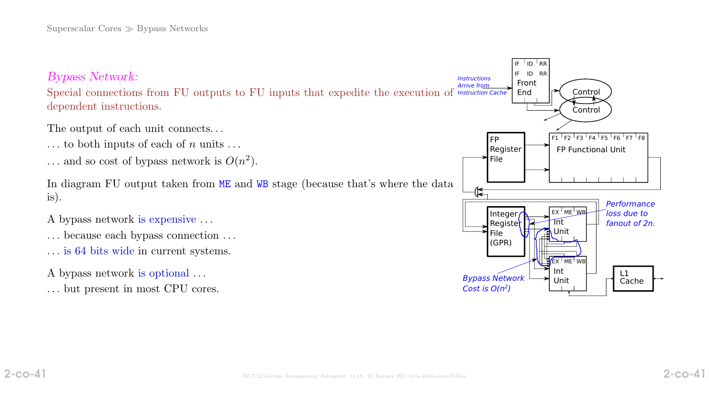

Special connections from FU outputs to FU inputs that expedite the execution of Instruction Cache dependent instructions.

The output of each unit connects...

- $\ldots$  to both inputs of each of n units  $\ldots$
- ... and so cost of bypass network is  $O(n^2)$ .

In diagram FU output taken from ME and WB stage (because that's where the data is).

- A bypass network is expensive . . .
- . . . because each bypass connection . . .
- . . . is 64 bits wide in current systems.
- A bypass network is optional . . .
- . . . but present in most CPU cores.

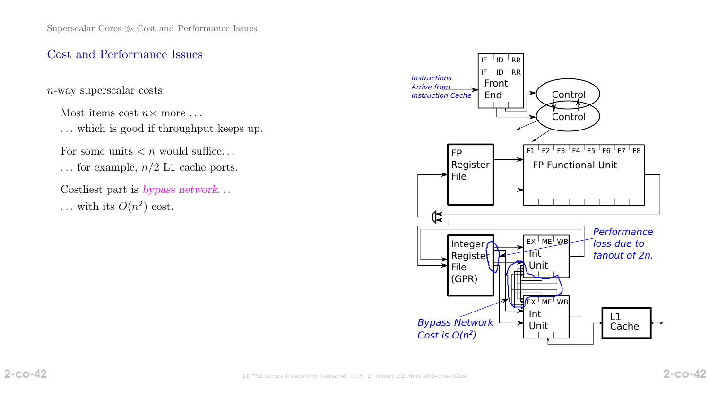## Cost and Performance Issues

n-way superscalar costs:

Most items cost  $n \times$  more ...

. . . which is good if throughput keeps up.

For some units  $\langle n \rangle$  would suffice...

... for example,  $n/2$  L1 cache ports.

Costliest part is bypass network. . . ... with its  $O(n^2)$  cost.

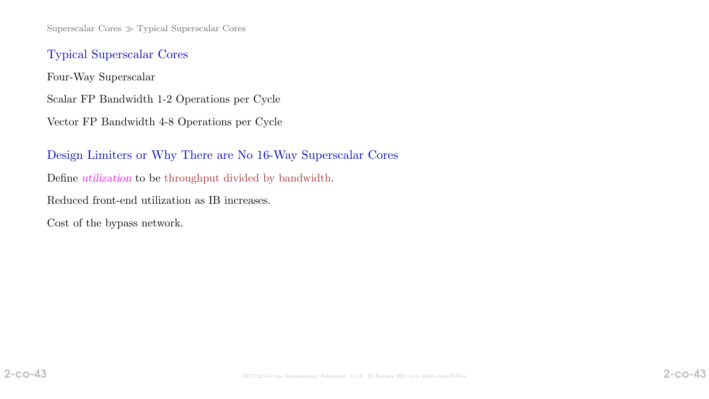## Typical Superscalar Cores

Four-Way Superscalar

Scalar FP Bandwidth 1-2 Operations per Cycle

Vector FP Bandwidth 4-8 Operations per Cycle

Design Limiters or Why There are No 16-Way Superscalar Cores Define utilization to be throughput divided by bandwidth. Reduced front-end utilization as IB increases. Cost of the bypass network.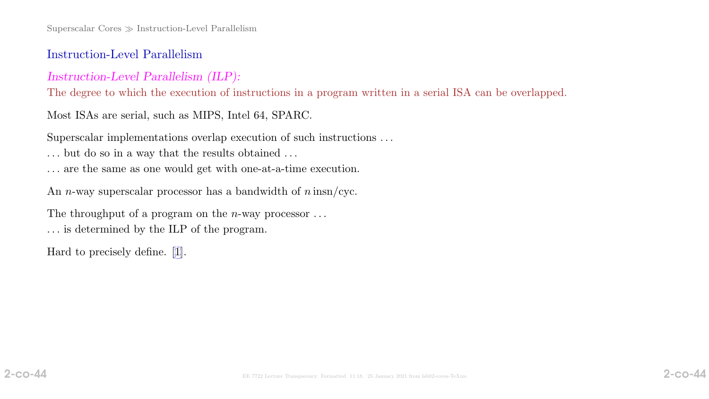### Instruction-Level Parallelism

### Instruction-Level Parallelism (ILP):

The degree to which the execution of instructions in a program written in a serial ISA can be overlapped.

Most ISAs are serial, such as MIPS, Intel 64, SPARC.

Superscalar implementations overlap execution of such instructions . . .

- $\ldots$  but do so in a way that the results obtained  $\ldots$
- . . . are the same as one would get with one-at-a-time execution.

An *n*-way superscalar processor has a bandwidth of  $n \text{ insn/cyc}$ .

The throughput of a program on the *n*-way processor  $\dots$ . . . is determined by the ILP of the program.

Hard to precisely define. [\[1\]](#page-97-0).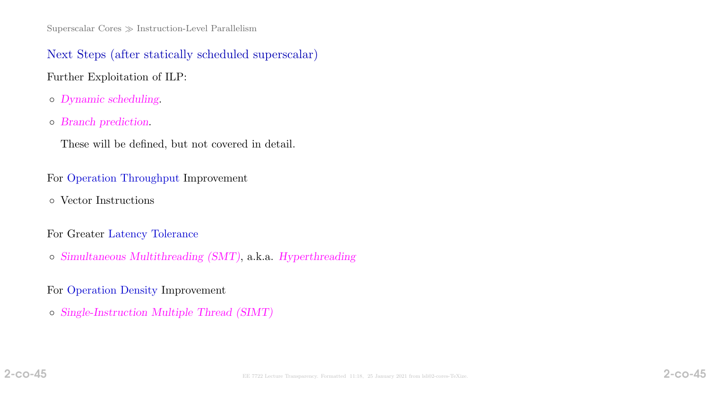Next Steps (after statically scheduled superscalar) Further Exploitation of ILP:

- Dynamic scheduling.
- Branch prediction.
	- These will be defined, but not covered in detail.

### For Operation Throughput Improvement

◦ Vector Instructions

### For Greater Latency Tolerance

◦ Simultaneous Multithreading (SMT), a.k.a. Hyperthreading

## For Operation Density Improvement

◦ Single-Instruction Multiple Thread (SIMT)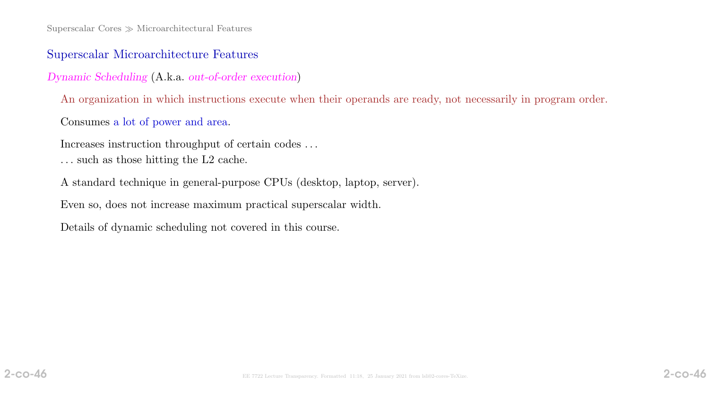## Superscalar Microarchitecture Features

Dynamic Scheduling (A.k.a. out-of-order execution)

An organization in which instructions execute when their operands are ready, not necessarily in program order.

Consumes a lot of power and area.

Increases instruction throughput of certain codes . . .

- . . . such as those hitting the L2 cache.
- A standard technique in general-purpose CPUs (desktop, laptop, server).

Even so, does not increase maximum practical superscalar width.

Details of dynamic scheduling not covered in this course.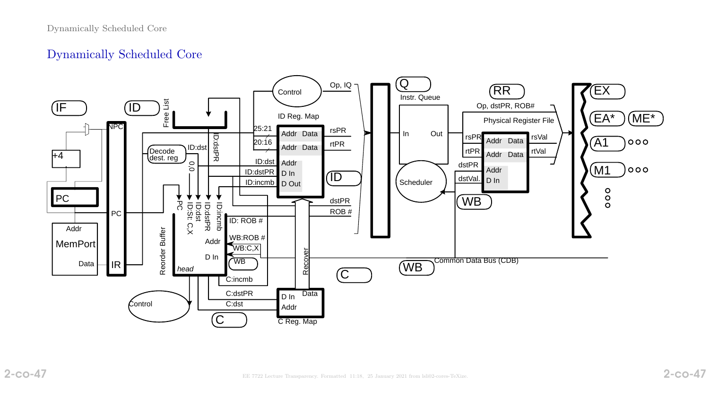## Dynamically Scheduled Core

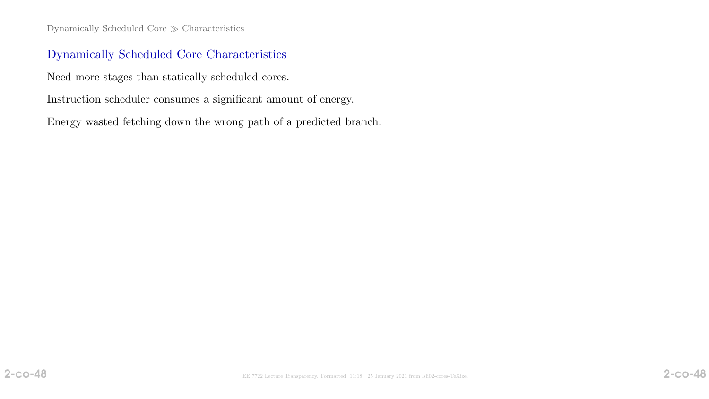Dynamically Scheduled Core  $\gg$  Characteristics

## Dynamically Scheduled Core Characteristics

Need more stages than statically scheduled cores.

Instruction scheduler consumes a significant amount of energy.

Energy wasted fetching down the wrong path of a predicted branch.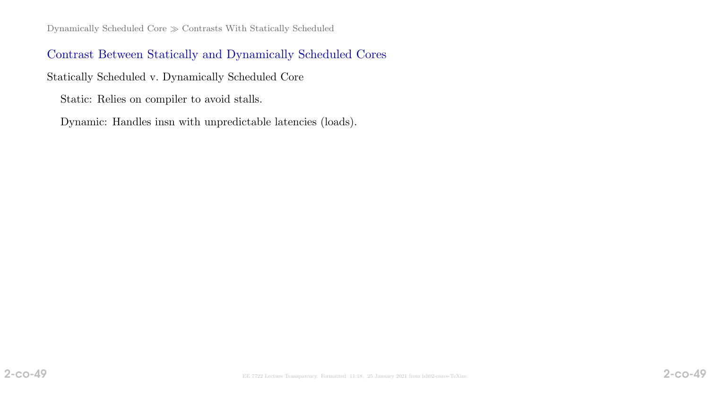## Contrast Between Statically and Dynamically Scheduled Cores

Statically Scheduled v. Dynamically Scheduled Core

Static: Relies on compiler to avoid stalls.

Dynamic: Handles insn with unpredictable latencies (loads).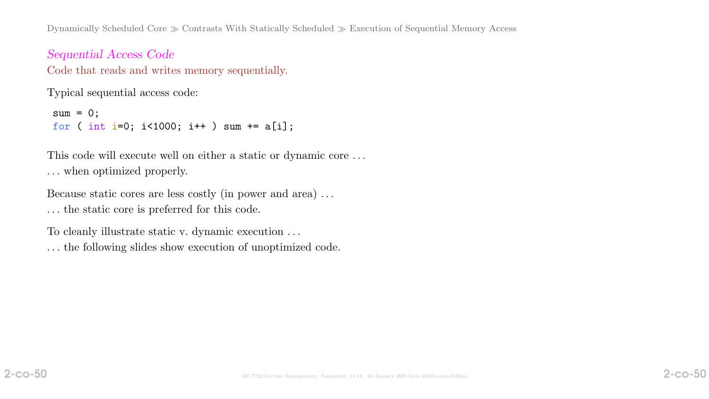Dynamically Scheduled Core  $\gg$  Contrasts With Statically Scheduled  $\gg$  Execution of Sequential Memory Access

Sequential Access Code Code that reads and writes memory sequentially.

Typical sequential access code:

```
sum = 0;
for ( int i=0; i<1000; i++ ) sum += a[i];
```
This code will execute well on either a static or dynamic core . . . . . . when optimized properly.

Because static cores are less costly (in power and area) . . .

. . . the static core is preferred for this code.

To cleanly illustrate static v. dynamic execution . . .

. . . the following slides show execution of unoptimized code.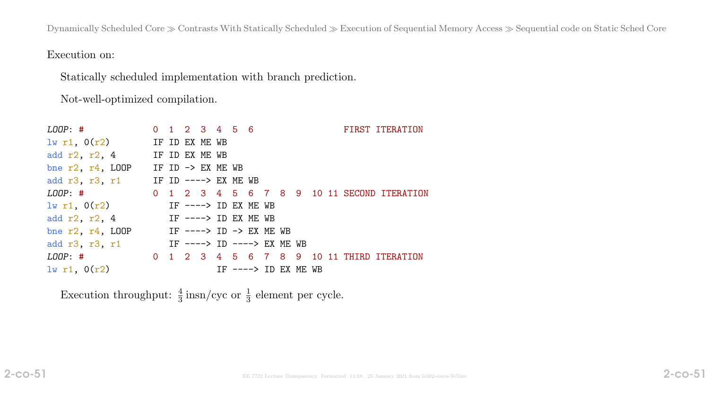Dynamically Scheduled Core  $\gg$  Contrasts With Statically Scheduled  $\gg$  Execution of Sequential Memory Access  $\gg$  Sequential code on Static Sched Core

Execution on:

Statically scheduled implementation with branch prediction.

Not-well-optimized compilation.

| $L O O P:$ #                                       |  | $0$ 1 2 3 4 5 6   |  |  |                       |  | FIRST ITERATION |
|----------------------------------------------------|--|-------------------|--|--|-----------------------|--|-----------------|
| $1w$ r1, $0(r2)$ IF ID EX ME WB                    |  |                   |  |  |                       |  |                 |
| add $r2$ , $r2$ , 4 IF ID EX ME WB                 |  |                   |  |  |                       |  |                 |
| bne $r2$ , $r4$ , LOOP                             |  | IF ID -> EX ME WB |  |  |                       |  |                 |
| add r3, r3, r1 IF ID $---> EX ME WB$               |  |                   |  |  |                       |  |                 |
| LOOP: # 0 1 2 3 4 5 6 7 8 9 10 11 SECOND ITERATION |  |                   |  |  |                       |  |                 |
| $1w$ r1, $0(r2)$ IF ----> ID EX ME WB              |  |                   |  |  |                       |  |                 |
| IF ----> ID EX ME WB<br>add $r2$ , $r2$ , $4$      |  |                   |  |  |                       |  |                 |
| bne $r2$ , $r4$ , LOOP IF ----> ID -> EX ME WB     |  |                   |  |  |                       |  |                 |
| add r3, r3, r1 		 IF ----> ID ----> EX ME WB       |  |                   |  |  |                       |  |                 |
| LOOP: # 0 1 2 3 4 5 6 7 8 9 10 11 THIRD ITERATION  |  |                   |  |  |                       |  |                 |
| $lw$ r1, $0(r2)$                                   |  |                   |  |  | IF $--->$ ID EX ME WB |  |                 |

Execution throughput:  $\frac{4}{3}$  insn/cyc or  $\frac{1}{3}$  element per cycle.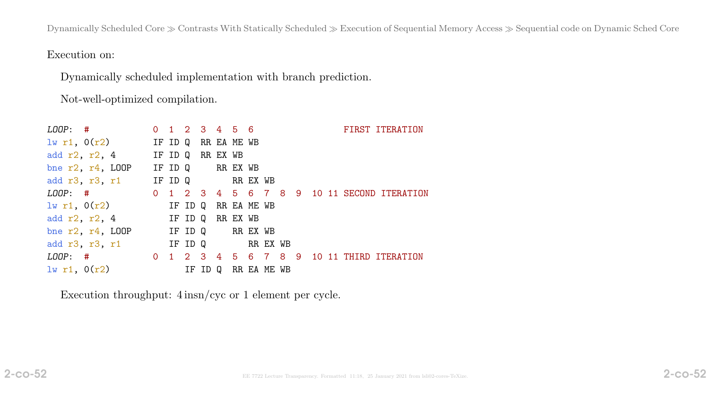Dynamically Scheduled Core  $\gg$  Contrasts With Statically Scheduled  $\gg$  Execution of Sequential Memory Access  $\gg$  Sequential code on Dynamic Sched Core

Execution on:

Dynamically scheduled implementation with branch prediction.

Not-well-optimized compilation.

| $\textit{LOOP}:$ #                                 | $0$ 1 2 3 4 5 6  |         |             |             |  |  | FIRST ITERATION |
|----------------------------------------------------|------------------|---------|-------------|-------------|--|--|-----------------|
| $1w$ r1, $0(r2)$ IF ID Q RR EA ME WB               |                  |         |             |             |  |  |                 |
| add $r2$ , $r2$ , 4 IF ID Q RR EX WB               |                  |         |             |             |  |  |                 |
| bne $r2$ , $r4$ , LOOP                             | IF ID Q RR EX WB |         |             |             |  |  |                 |
| add r3, r3, r1 IF ID Q RR EX WB                    |                  |         |             |             |  |  |                 |
| LOOP: # 0 1 2 3 4 5 6 7 8 9 10 11 SECOND ITERATION |                  |         |             |             |  |  |                 |
| $\frac{1}{W}$ r1, $0(r2)$ IF ID Q                  |                  |         | RR EA ME WB |             |  |  |                 |
| add $r2$ , $r2$ , 4 IF ID Q                        |                  |         | RR EX WB    |             |  |  |                 |
| bne $r2$ , $r4$ , LOOP IF ID Q RR EX WB            |                  |         |             |             |  |  |                 |
| add r3, r3, r1 IF ID Q RR EX WB                    |                  |         |             |             |  |  |                 |
| LOOP: # 0 1 2 3 4 5 6 7 8 9 10 11 THIRD ITERATION  |                  |         |             |             |  |  |                 |
| 1w r1, 0(r2)                                       |                  | IF ID Q |             | RR EA ME WB |  |  |                 |

Execution throughput: 4 insn/cyc or 1 element per cycle.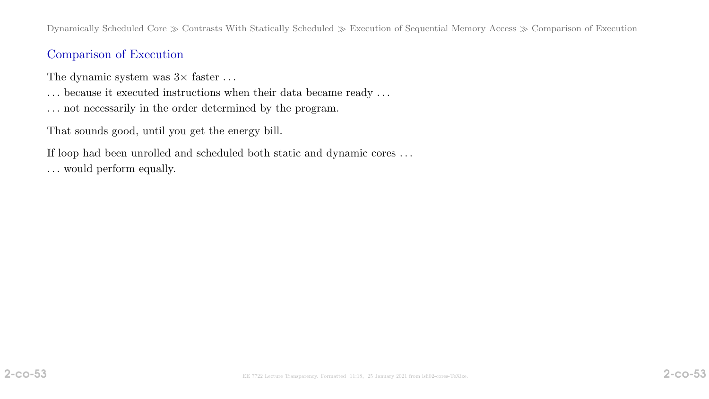Dynamically Scheduled Core  $\gg$  Contrasts With Statically Scheduled  $\gg$  Execution of Sequential Memory Access  $\gg$  Comparison of Execution

## Comparison of Execution

The dynamic system was  $3 \times$  faster ...

- $\ldots$  because it executed instructions when their data became ready  $\ldots$
- . . . not necessarily in the order determined by the program.

That sounds good, until you get the energy bill.

If loop had been unrolled and scheduled both static and dynamic cores  $\ldots$ . . . would perform equally.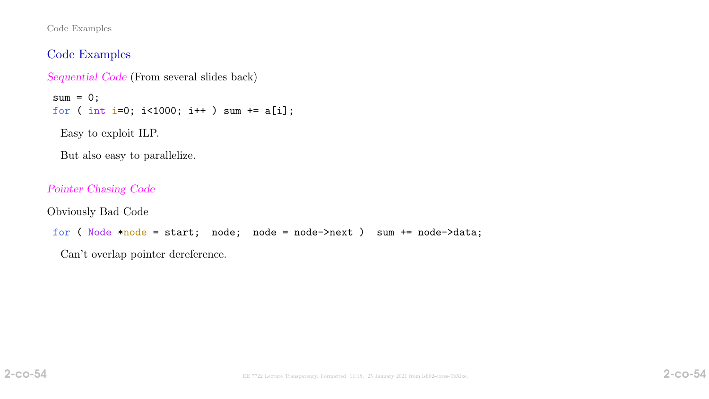Code Examples

### Code Examples

```
Sequential Code (From several slides back)
```

```
sum = 0;
for ( int i=0; i<1000; i++ ) sum += a[i];
```
Easy to exploit ILP.

But also easy to parallelize.

Pointer Chasing Code

Obviously Bad Code

for ( Node \*node = start; node; node = node->next ) sum += node->data;

Can't overlap pointer dereference.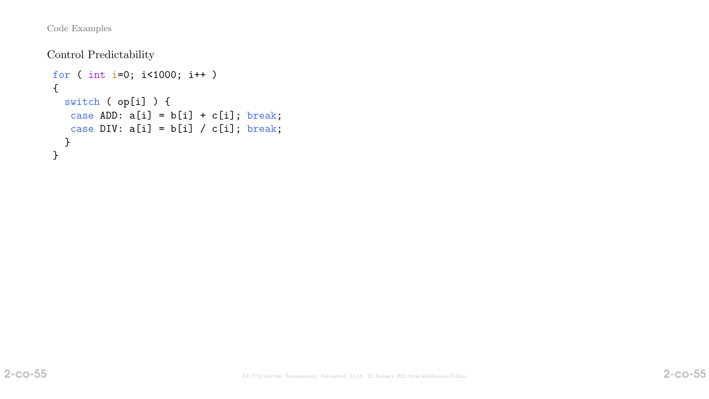Code Examples

Control Predictability

```
for ( int i=0; i<1000; i++ )
{
  switch ( op[i] ) {
  case ADD: a[i] = b[i] + c[i]; break;
   case DIV: a[i] = b[i] / c[i]; break;
  }
}
```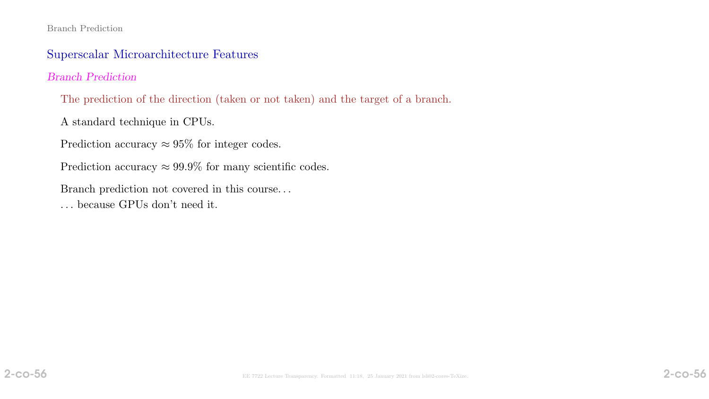#### Branch Prediction

## Superscalar Microarchitecture Features

### Branch Prediction

The prediction of the direction (taken or not taken) and the target of a branch.

A standard technique in CPUs.

Prediction accuracy  $\approx 95\%$  for integer codes.

Prediction accuracy  $\approx 99.9\%$  for many scientific codes.

Branch prediction not covered in this course. . .

. . . because GPUs don't need it.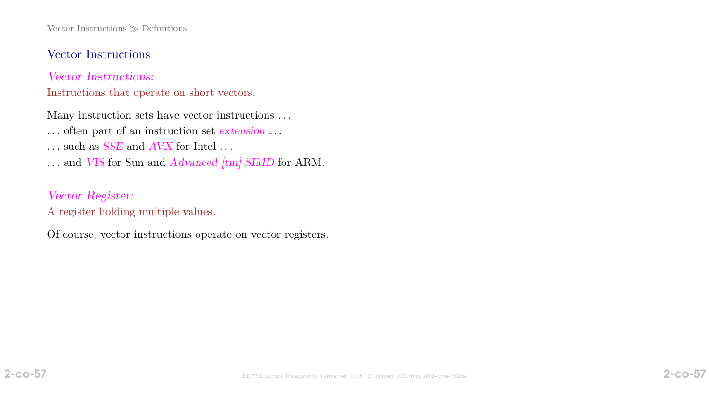Vector Instructions  $\gg$  Definitions

#### Vector Instructions

Vector Instructions:

Instructions that operate on short vectors.

Many instruction sets have vector instructions . . .

- . . . often part of an instruction set extension . . .
- $\ldots$  such as SSE and  $AVX$  for Intel  $\ldots$
- ... and VIS for Sun and Advanced [tm] SIMD for ARM.

### Vector Register:

A register holding multiple values.

Of course, vector instructions operate on vector registers.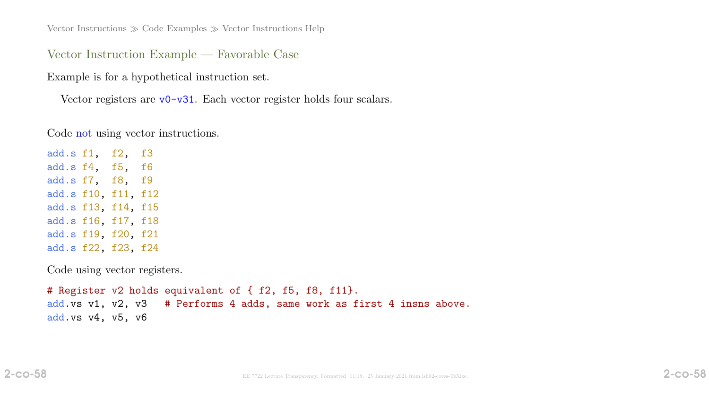Vector Instructions  $\gg$  Code Examples  $\gg$  Vector Instructions Help

Vector Instruction Example — Favorable Case

Example is for a hypothetical instruction set.

Vector registers are  $\nu$ 0-v31. Each vector register holds four scalars.

Code not using vector instructions.

add.s f1, f2, f3 add.s f4, f5, f6 add.s f7, f8, f9 add.s f10, f11, f12 add.s f13, f14, f15 add.s f16, f17, f18 add.s f19, f20, f21 add.s f22, f23, f24

Code using vector registers.

# Register v2 holds equivalent of { f2, f5, f8, f11}. add.vs v1, v2, v3 # Performs 4 adds, same work as first 4 insns above. add.vs v4, v5, v6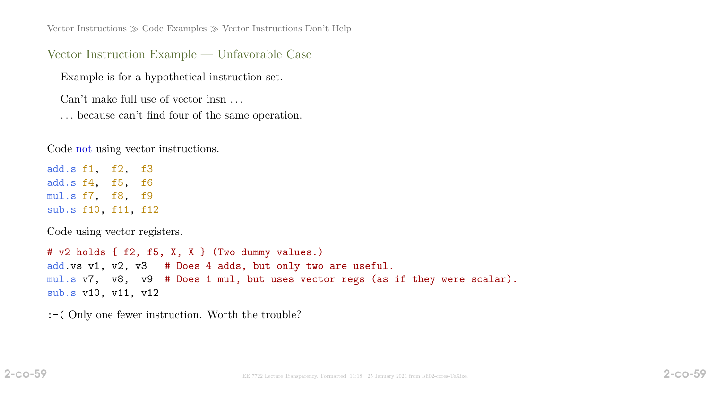Vector Instructions  $\gg$  Code Examples  $\gg$  Vector Instructions Don't Help

Vector Instruction Example — Unfavorable Case

Example is for a hypothetical instruction set.

Can't make full use of vector insn . . .

. . . because can't find four of the same operation.

Code not using vector instructions.

add.s f1, f2, f3 add.s f4, f5, f6 mul.s f7, f8, f9 sub.s f10, f11, f12

Code using vector registers.

# v2 holds { f2, f5, X, X } (Two dummy values.) add.vs v1, v2, v3 # Does 4 adds, but only two are useful. mul.s v7, v8, v9 # Does 1 mul, but uses vector regs (as if they were scalar). sub.s v10, v11, v12

:-( Only one fewer instruction. Worth the trouble?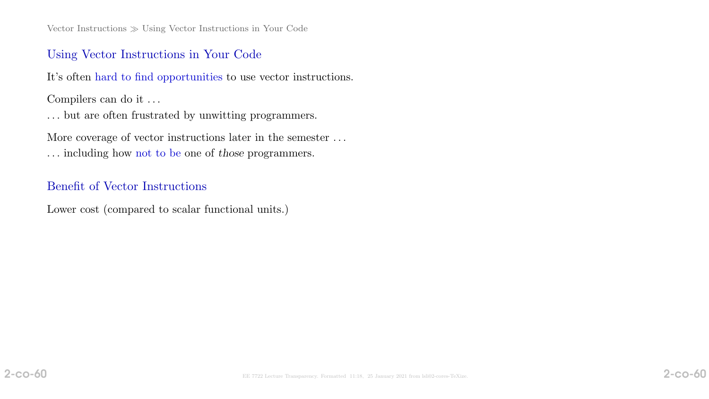### Using Vector Instructions in Your Code

It's often hard to find opportunities to use vector instructions.

Compilers can do it . . .

. . . but are often frustrated by unwitting programmers.

More coverage of vector instructions later in the semester . . .

. . . including how not to be one of those programmers.

### Benefit of Vector Instructions

Lower cost (compared to scalar functional units.)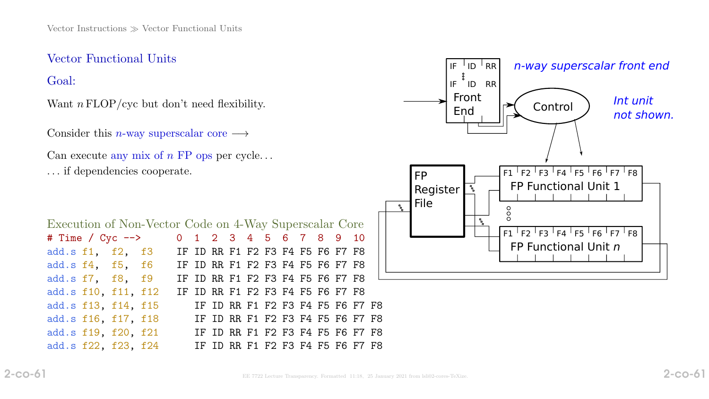# Vector Functional Units

Goal:

Want  $n \text{ FLOP}/\text{cyc}$  but don't need flexibility.

Consider this *n*-way superscalar core  $\longrightarrow$ 

Can execute any mix of  $n$  FP ops per cycle... . . . if dependencies cooperate.

| Execution of Non-Vector Code on 4-Way Superscalar Core |  |  |  |  |  |  |                                  |  |  |  |  |  |                                  |  |
|--------------------------------------------------------|--|--|--|--|--|--|----------------------------------|--|--|--|--|--|----------------------------------|--|
| # Time / $Cyc$ -->                                     |  |  |  |  |  |  | 0 1 2 3 4 5 6 7 8 9 10           |  |  |  |  |  |                                  |  |
| add.s f1, f2, f3                                       |  |  |  |  |  |  | IF ID RR F1 F2 F3 F4 F5 F6 F7 F8 |  |  |  |  |  |                                  |  |
| add.s f4, f5, f6 IF ID RR F1 F2 F3 F4 F5 F6 F7 F8      |  |  |  |  |  |  |                                  |  |  |  |  |  |                                  |  |
| add.s f7, f8, f9                                       |  |  |  |  |  |  |                                  |  |  |  |  |  | IF ID RR F1 F2 F3 F4 F5 F6 F7 F8 |  |
| add.s f10, f11, f12                                    |  |  |  |  |  |  | IF ID RR F1 F2 F3 F4 F5 F6 F7 F8 |  |  |  |  |  |                                  |  |
| add.s f13, f14, f15                                    |  |  |  |  |  |  |                                  |  |  |  |  |  | IF ID RR F1 F2 F3 F4 F5 F6 F7 F8 |  |
| add.s f16, f17, f18                                    |  |  |  |  |  |  |                                  |  |  |  |  |  | IF ID RR F1 F2 F3 F4 F5 F6 F7 F8 |  |
| add.s f19, f20, f21                                    |  |  |  |  |  |  |                                  |  |  |  |  |  | IF ID RR F1 F2 F3 F4 F5 F6 F7 F8 |  |
| add.s f22, f23, f24                                    |  |  |  |  |  |  |                                  |  |  |  |  |  | IF ID RR F1 F2 F3 F4 F5 F6 F7 F8 |  |

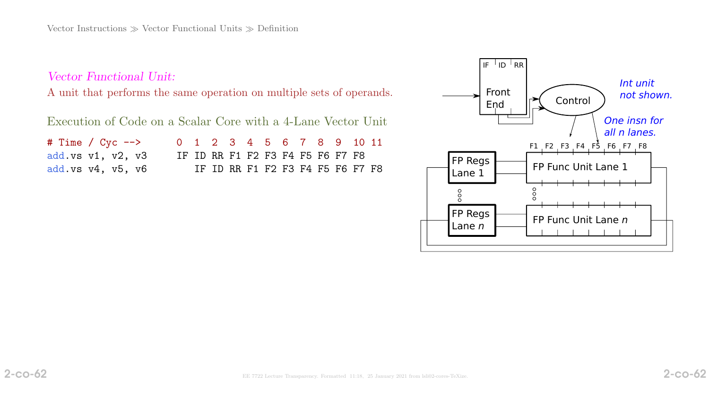Vector Functional Unit:

A unit that performs the same operation on multiple sets of operands.

Execution of Code on a Scalar Core with a 4-Lane Vector Unit

| # Time / $Cyc$ -->        |  |  |  |  | 0 1 2 3 4 5 6 7 8 9 10 11        |  |  |  |
|---------------------------|--|--|--|--|----------------------------------|--|--|--|
| add.vs $v1$ , $v2$ , $v3$ |  |  |  |  | IF ID RR F1 F2 F3 F4 F5 F6 F7 F8 |  |  |  |
| add.vs $v4$ , $v5$ , $v6$ |  |  |  |  | IF ID RR F1 F2 F3 F4 F5 F6 F7 F8 |  |  |  |

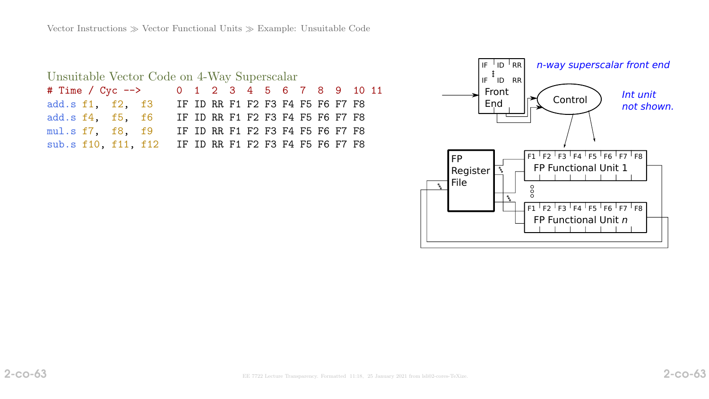| Unsuitable Vector Code on 4-Way Superscalar |  |  |                                                      |  |  |                                  |  |  |  |  |  |  |  |  |
|---------------------------------------------|--|--|------------------------------------------------------|--|--|----------------------------------|--|--|--|--|--|--|--|--|
|                                             |  |  | # Time / Cyc --> 0 1 2 3 4 5 6 7 8 9 10 11           |  |  |                                  |  |  |  |  |  |  |  |  |
|                                             |  |  | add.s f1, f2, f3 IF ID RR F1 F2 F3 F4 F5 F6 F7 F8    |  |  |                                  |  |  |  |  |  |  |  |  |
| add.s f4, f5, f6                            |  |  |                                                      |  |  | IF ID RR F1 F2 F3 F4 F5 F6 F7 F8 |  |  |  |  |  |  |  |  |
| mul.s f7, f8, f9                            |  |  |                                                      |  |  | IF ID RR F1 F2 F3 F4 F5 F6 F7 F8 |  |  |  |  |  |  |  |  |
|                                             |  |  | sub.s f10, f11, f12 IF ID RR F1 F2 F3 F4 F5 F6 F7 F8 |  |  |                                  |  |  |  |  |  |  |  |  |

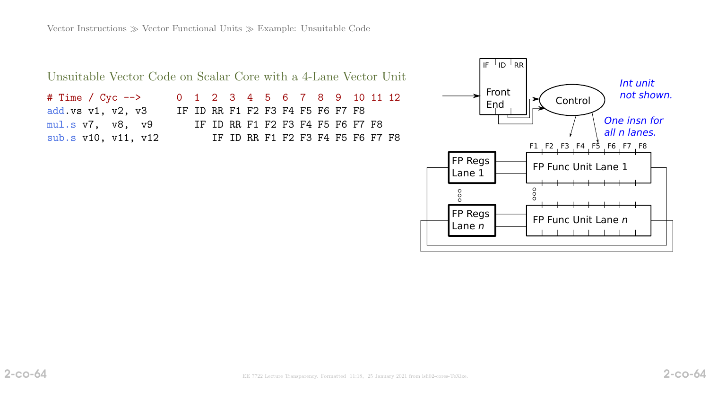| Unsuitable Vector Code on Scalar Core with a 4-Lane Vector Unit |  |  |                                  |  |  |  |  |
|-----------------------------------------------------------------|--|--|----------------------------------|--|--|--|--|
| # Time / Cyc -->                                                |  |  | 0 1 2 3 4 5 6 7 8 9 10 11 12     |  |  |  |  |
| add.vs $v1, v2, v3$                                             |  |  | IF ID RR F1 F2 F3 F4 F5 F6 F7 F8 |  |  |  |  |
| mul.s v7, v8, v9                                                |  |  | IF ID RR F1 F2 F3 F4 F5 F6 F7 F8 |  |  |  |  |
| sub.s v10, v11, v12                                             |  |  | IF ID RR F1 F2 F3 F4 F5 F6 F7 F8 |  |  |  |  |

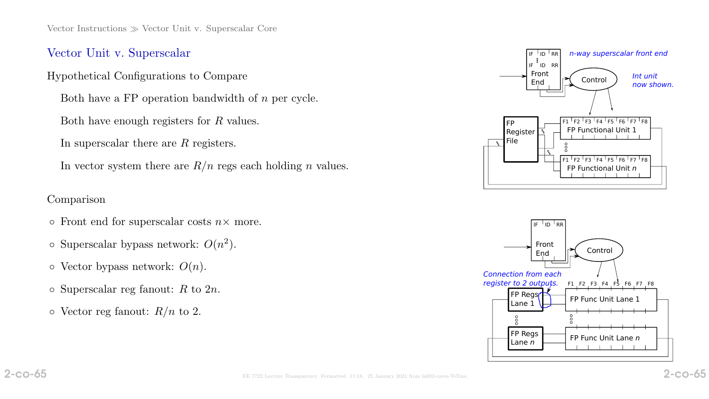Vector Instructions  $\gg$  Vector Unit v. Superscalar Core

#### Vector Unit v. Superscalar

Hypothetical Configurations to Compare

Both have a FP operation bandwidth of n per cycle.

Both have enough registers for R values.

In superscalar there are R registers.

In vector system there are  $R/n$  regs each holding n values.

#### Comparison

- $\circ$  Front end for superscalar costs  $n \times$  more.
- $\circ$  Superscalar bypass network:  $O(n^2)$ .
- $\circ$  Vector bypass network:  $O(n)$ .
- $\circ$  Superscalar reg fanout: R to 2n.
- $\circ$  Vector reg fanout:  $R/n$  to 2.



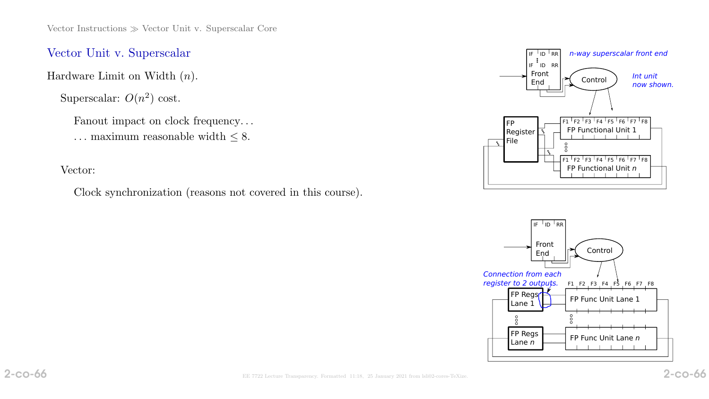## Vector Unit v. Superscalar

Hardware Limit on Width  $(n)$ .

Superscalar:  $O(n^2)$  cost.

Fanout impact on clock frequency... ... maximum reasonable width  $\leq 8.$ 

Vector:

Clock synchronization (reasons not covered in this course).



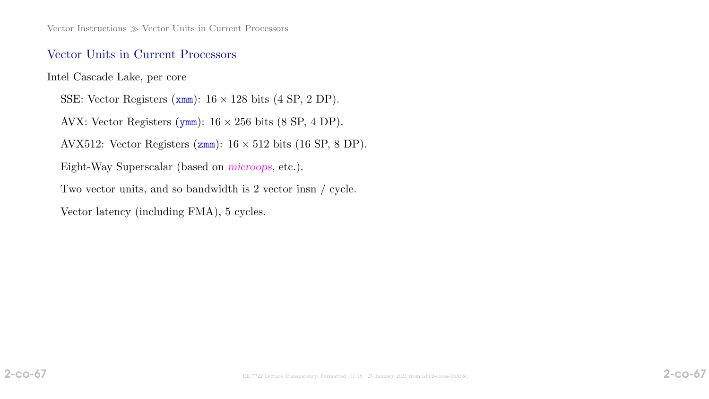### Vector Units in Current Processors

Intel Cascade Lake, per core

SSE: Vector Registers  $(xmm)$ :  $16 \times 128$  bits  $(4 \text{ SP}, 2 \text{ DP})$ . AVX: Vector Registers ( $ymm$ ):  $16 \times 256$  bits (8 SP, 4 DP). AVX512: Vector Registers  $(zmm)$ :  $16 \times 512$  bits  $(16 SP, 8 DP)$ . Eight-Way Superscalar (based on microops, etc.). Two vector units, and so bandwidth is 2 vector insn / cycle. Vector latency (including FMA), 5 cycles.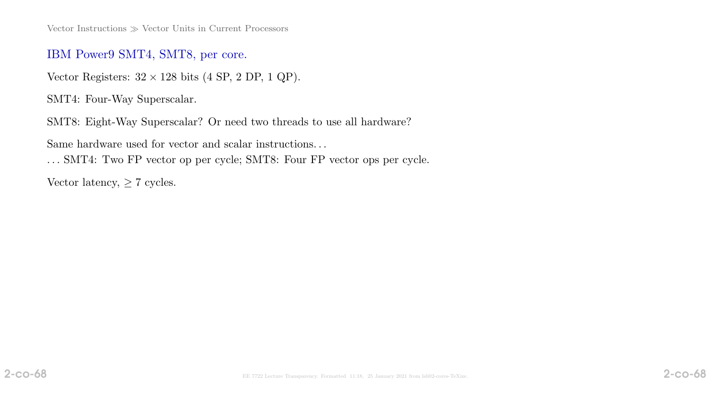Vector Instructions  $\gg$  Vector Units in Current Processors

#### IBM Power9 SMT4, SMT8, per core.

Vector Registers:  $32 \times 128$  bits (4 SP, 2 DP, 1 QP).

SMT4: Four-Way Superscalar.

SMT8: Eight-Way Superscalar? Or need two threads to use all hardware?

Same hardware used for vector and scalar instructions. . .

. . . SMT4: Two FP vector op per cycle; SMT8: Four FP vector ops per cycle.

Vector latency,  $\geq 7$  cycles.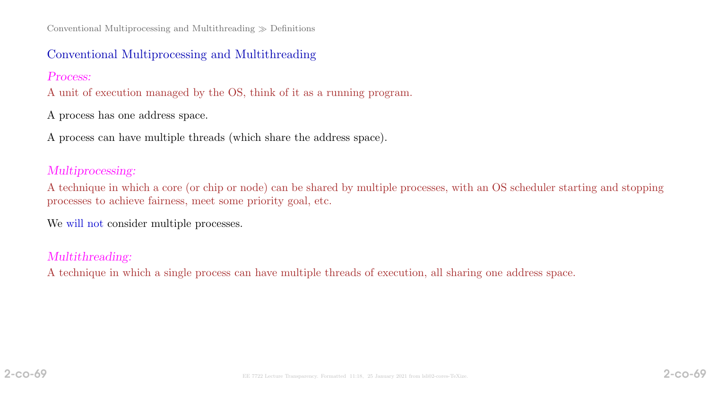Conventional Multiprocessing and Multithreading  $\gg$  Definitions

### Conventional Multiprocessing and Multithreading

#### Process:

A unit of execution managed by the OS, think of it as a running program.

A process has one address space.

A process can have multiple threads (which share the address space).

### Multiprocessing:

A technique in which a core (or chip or node) can be shared by multiple processes, with an OS scheduler starting and stopping processes to achieve fairness, meet some priority goal, etc.

We will not consider multiple processes.

## Multithreading:

A technique in which a single process can have multiple threads of execution, all sharing one address space.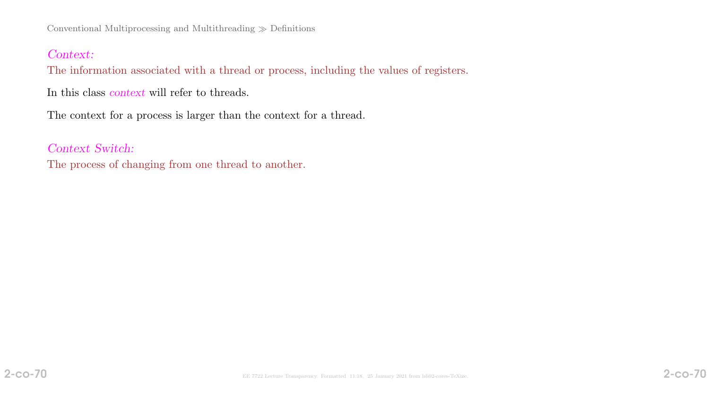### Context:

The information associated with a thread or process, including the values of registers.

In this class context will refer to threads.

The context for a process is larger than the context for a thread.

Context Switch:

The process of changing from one thread to another.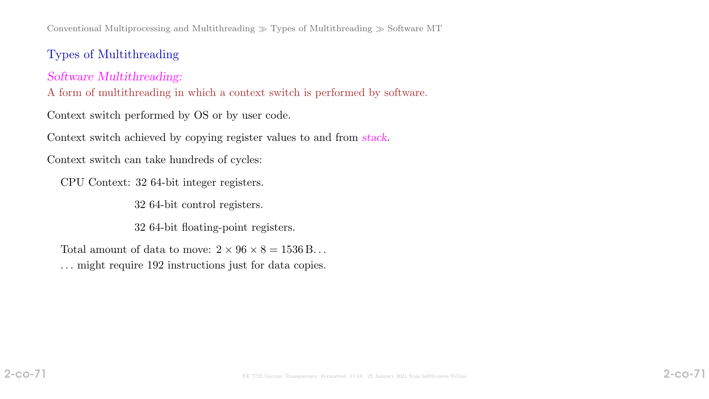Conventional Multiprocessing and Multithreading  $\gg$  Types of Multithreading  $\gg$  Software MT

# Types of Multithreading

Software Multithreading:

A form of multithreading in which a context switch is performed by software.

Context switch performed by OS or by user code.

Context switch achieved by copying register values to and from stack.

Context switch can take hundreds of cycles:

CPU Context: 32 64-bit integer registers.

32 64-bit control registers.

32 64-bit floating-point registers.

Total amount of data to move:  $2 \times 96 \times 8 = 1536$  B... . . . might require 192 instructions just for data copies.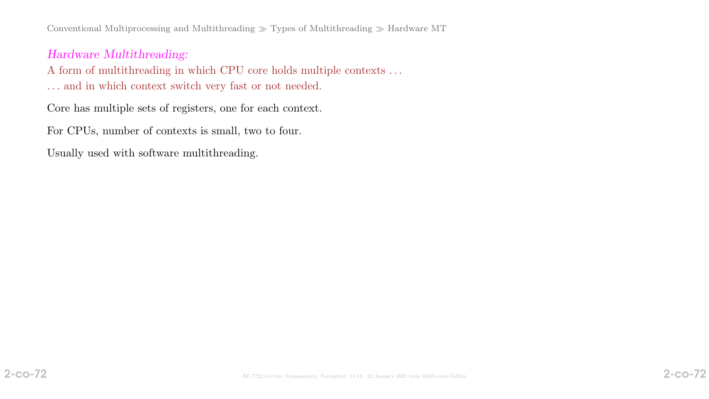Conventional Multiprocessing and Multithreading  $\gg$  Types of Multithreading  $\gg$  Hardware MT

### Hardware Multithreading:

A form of multithreading in which CPU core holds multiple contexts . . .

. . . and in which context switch very fast or not needed.

Core has multiple sets of registers, one for each context.

For CPUs, number of contexts is small, two to four.

Usually used with software multithreading.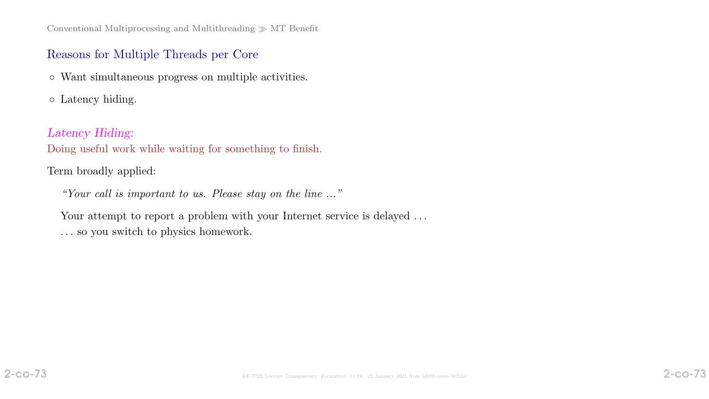# Reasons for Multiple Threads per Core

◦ Want simultaneous progress on multiple activities.

◦ Latency hiding.

# Latency Hiding:

Doing useful work while waiting for something to finish.

# Term broadly applied:

"Your call is important to us. Please stay on the line ..."

Your attempt to report a problem with your Internet service is delayed ... . . . so you switch to physics homework.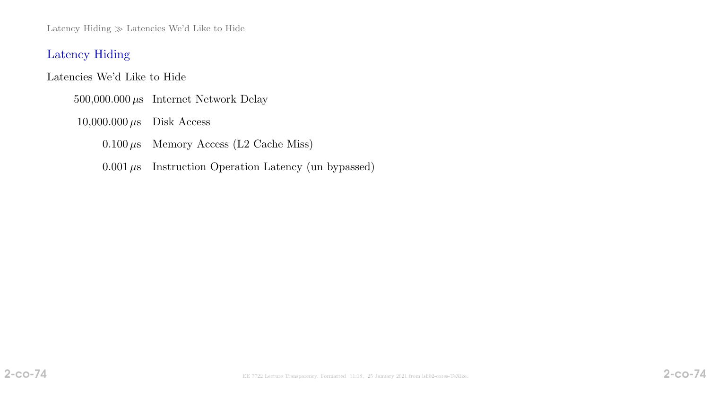Latency Hiding  $\gg$  Latencies We'd Like to Hide

## Latency Hiding

Latencies We'd Like to Hide

500,000.000 $\mu\mathrm{s}$  Internet Network Delay

 $10,000.000 \,\mu s$  Disk Access

 $0.100 \,\mu s$  Memory Access (L2 Cache Miss)

 $0.001 \,\mu s$  Instruction Operation Latency (un bypassed)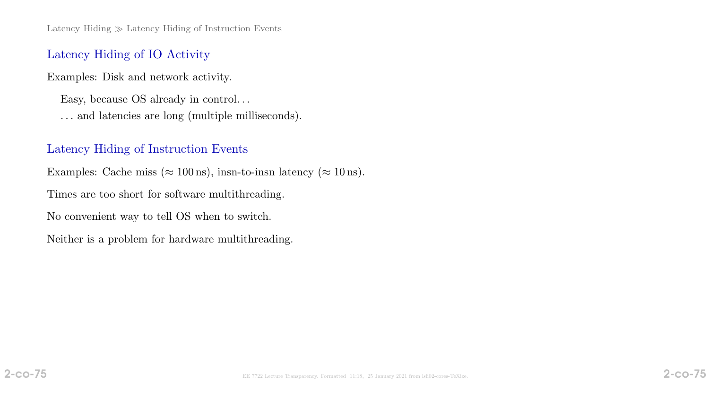Latency Hiding  $\gg$  Latency Hiding of Instruction Events

### Latency Hiding of IO Activity

Examples: Disk and network activity.

Easy, because OS already in control. . . . . . and latencies are long (multiple milliseconds).

#### Latency Hiding of Instruction Events

Examples: Cache miss ( $\approx 100 \text{ ns}$ ), insn-to-insn latency ( $\approx 10 \text{ ns}$ ).

Times are too short for software multithreading.

No convenient way to tell OS when to switch.

Neither is a problem for hardware multithreading.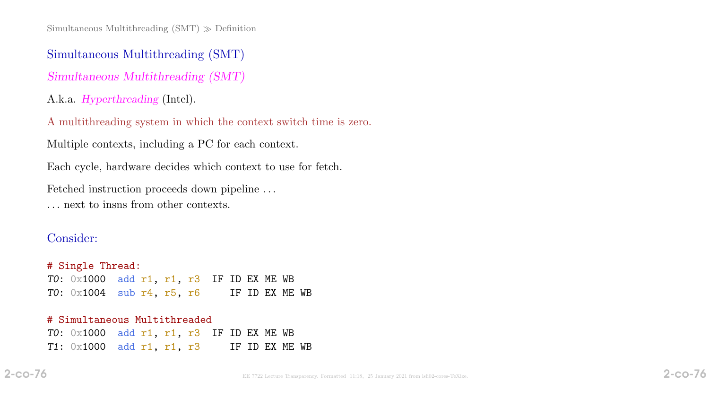Simultaneous Multithreading  $(SMT) \gg$  Definition

Simultaneous Multithreading (SMT)

Simultaneous Multithreading (SMT)

A.k.a. Hyperthreading (Intel).

A multithreading system in which the context switch time is zero.

Multiple contexts, including a PC for each context.

Each cycle, hardware decides which context to use for fetch.

Fetched instruction proceeds down pipeline . . .

. . . next to insns from other contexts.

#### Consider:

# Single Thread: TO:  $0 \times 1000$  add r1, r1, r3 IF ID EX ME WB TO:  $0 \times 1004$  sub r4, r5, r6 IF ID EX ME WB # Simultaneous Multithreaded TO:  $0 \times 1000$  add r1, r1, r3 IF ID EX ME WB  $T1: 0x1000$  add r1, r1, r3 IF ID EX ME WB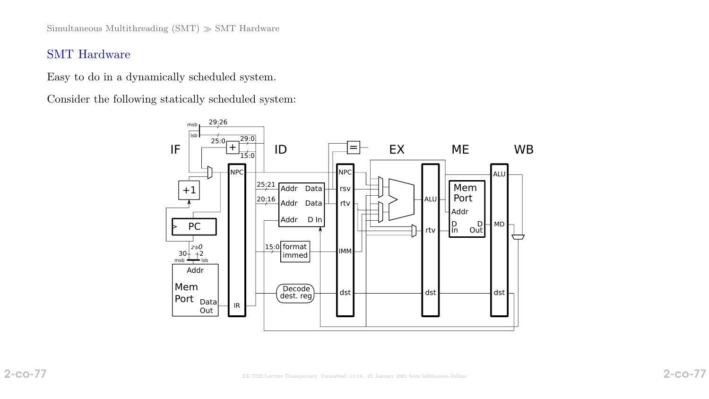Simultaneous Multithreading (SMT)  $\gg$  SMT Hardware

## SMT Hardware

Easy to do in a dynamically scheduled system.

Consider the following statically scheduled system:

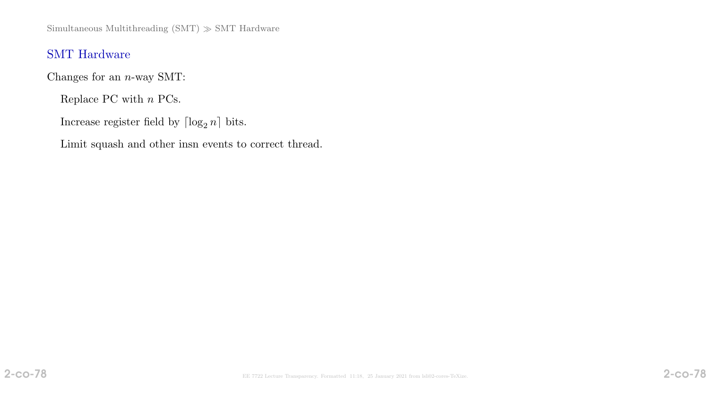Simultaneous Multithreading (SMT)  $\gg$  SMT Hardware

# SMT Hardware

Changes for an  $n$ -way SMT:

Replace PC with  $n$  PCs.  $\;$ 

Increase register field by  $\lceil \log_2 n \rceil$  bits.

Limit squash and other insn events to correct thread.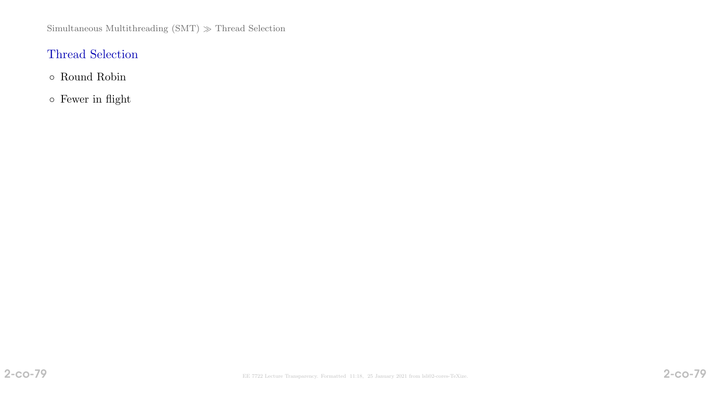# Thread Selection

- Round Robin
- Fewer in flight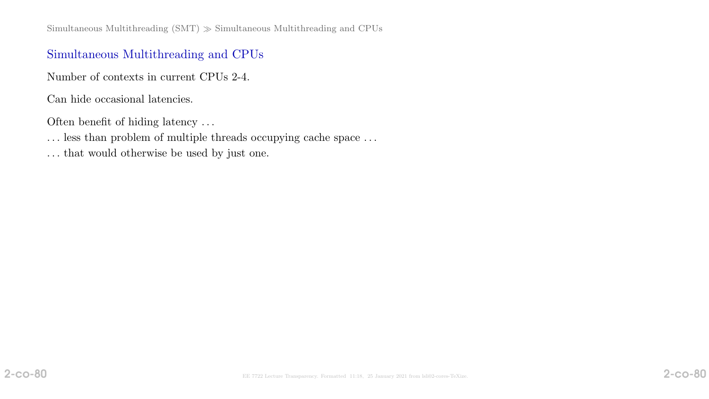Simultaneous Multithreading  $(SMT) \gg$  Simultaneous Multithreading and CPUs

# Simultaneous Multithreading and CPUs

Number of contexts in current CPUs 2-4.

Can hide occasional latencies.

Often benefit of hiding latency . . .

- $\ldots$  less than problem of multiple threads occupying cache space  $\ldots$
- . . . that would otherwise be used by just one.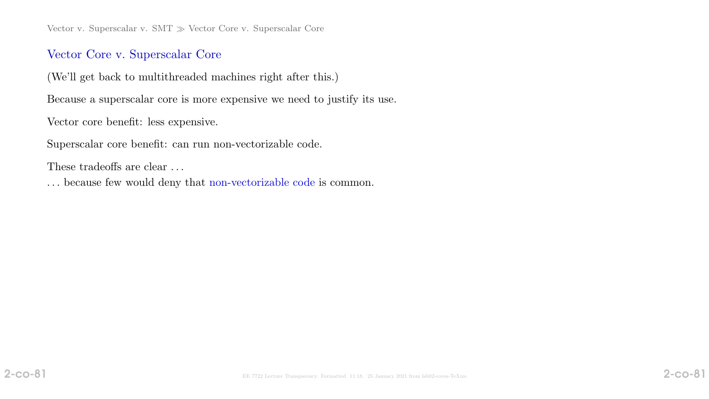Vector v. Superscalar v. SMT  $\gg$  Vector Core v. Superscalar Core

## Vector Core v. Superscalar Core

(We'll get back to multithreaded machines right after this.)

Because a superscalar core is more expensive we need to justify its use.

Vector core benefit: less expensive.

Superscalar core benefit: can run non-vectorizable code.

These tradeoffs are clear ...

. . . because few would deny that non-vectorizable code is common.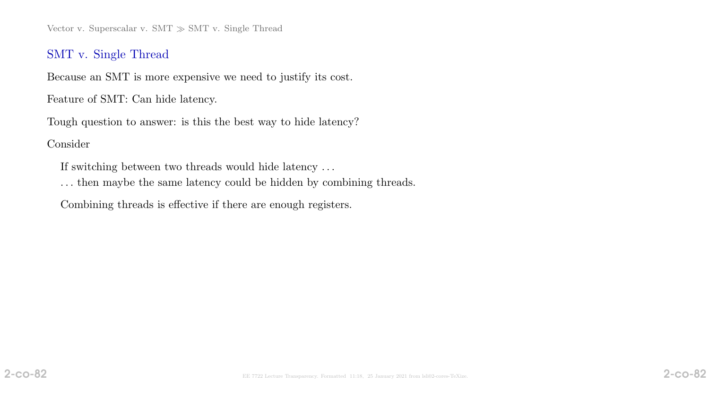Vector v. Superscalar v. SMT  $\gg$  SMT v. Single Thread

# SMT v. Single Thread

Because an SMT is more expensive we need to justify its cost.

Feature of SMT: Can hide latency.

Tough question to answer: is this the best way to hide latency?

#### Consider

If switching between two threads would hide latency . . .

. . . then maybe the same latency could be hidden by combining threads.

Combining threads is effective if there are enough registers.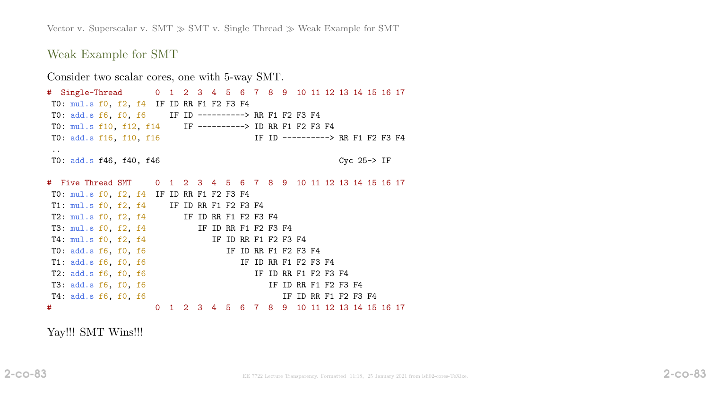Vector v. Superscalar v. SMT  $\gg$  SMT v. Single Thread  $\gg$  Weak Example for SMT

Weak Example for SMT

Consider two scalar cores, one with 5-way SMT. # Single-Thread 0 1 2 3 4 5 6 7 8 9 10 11 12 13 14 15 16 17 T0: mul.s f0, f2, f4 IF ID RR F1 F2 F3 F4 T0: add.s f6, f0, f6 IF ID ----------> RR F1 F2 F3 F4 T0: mul.s f10, f12, f14 IF ----------> ID RR F1 F2 F3 F4 T0: add.s f16, f10, f16 IF ID ---------> RR F1 F2 F3 F4 .. T0: add.s f46, f40, f46 Cyc 25-> IF # Five Thread SMT 0 1 2 3 4 5 6 7 8 9 10 11 12 13 14 15 16 17 T0: mul.s f0, f2, f4 IF ID RR F1 F2 F3 F4 T1: mul.s f0, f2, f4 IF ID RR F1 F2 F3 F4 T2: mul.s f0, f2, f4 IF ID RR F1 F2 F3 F4 T3: mul.s f0, f2, f4 IF ID RR F1 F2 F3 F4 T4: mul.s f0, f2, f4 IF ID RR F1 F2 F3 F4 T0: add.s f6, f0, f6 IF ID RR F1 F2 F3 F4 T1: add.s f6, f0, f6 IF ID RR F1 F2 F3 F4 T2: add.s f6, f0, f6 IF ID RR F1 F2 F3 F4 T3: add.s f6, f0, f6 IF ID RR F1 F2 F3 F4 T4: add.s f6, f0, f6 IF ID RR F1 F2 F3 F4 # 0 1 2 3 4 5 6 7 8 9 10 11 12 13 14 15 16 17

Yay!!! SMT Wins!!!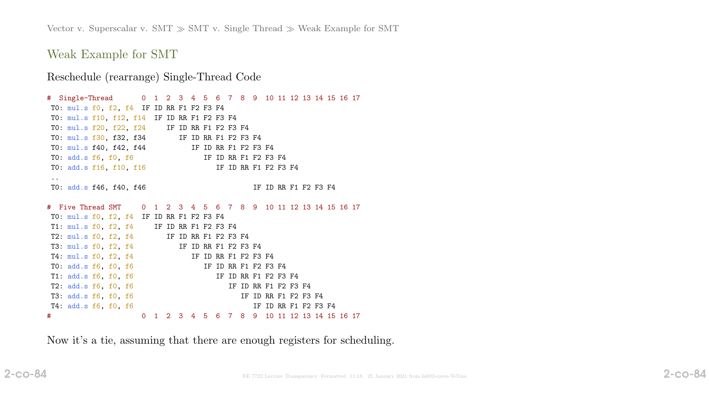Weak Example for SMT

Reschedule (rearrange) Single-Thread Code

# Single-Thread 0 1 2 3 4 5 6 7 8 9 10 11 12 13 14 15 16 17 T0: mul.s f0, f2, f4 IF ID RR F1 F2 F3 F4 T0: mul.s f10, f12, f14 IF ID RR F1 F2 F3 F4 T0: mul.s f20, f22, f24 IF ID RR F1 F2 F3 F4 T0: mul.s f30, f32, f34 IF ID RR F1 F2 F3 F4 T0: mul.s f40, f42, f44 IF ID RR F1 F2 F3 F4 T0: add.s f6, f0, f6 IF ID RR F1 F2 F3 F4 T0: add.s f16, f10, f16 IF ID RR F1 F2 F3 F4 .. T0: add.s f46, f40, f46 IF ID RR F1 F2 F3 F4 # Five Thread SMT 0 1 2 3 4 5 6 7 8 9 10 11 12 13 14 15 16 17 T0: mul.s f0, f2, f4 IF ID RR F1 F2 F3 F4 T1: mul.s f0, f2, f4 IF ID RR F1 F2 F3 F4 T2: mul.s f0, f2, f4 IF ID RR F1 F2 F3 F4 T3: mul.s f0, f2, f4 IF ID RR F1 F2 F3 F4 T4: mul.s f0, f2, f4 IF ID RR F1 F2 F3 F4 T0: add.s f6, f0, f6 IF ID RR F1 F2 F3 F4 T1: add.s f6, f0, f6 IF ID RR F1 F2 F3 F4 T2: add.s f6, f0, f6 IF ID RR F1 F2 F3 F4 T3: add.s f6, f0, f6 IF ID RR F1 F2 F3 F4 T4: add.s f6, f0, f6 IF ID RR F1 F2 F3 F4 # 0 1 2 3 4 5 6 7 8 9 10 11 12 13 14 15 16 17

Now it's a tie, assuming that there are enough registers for scheduling.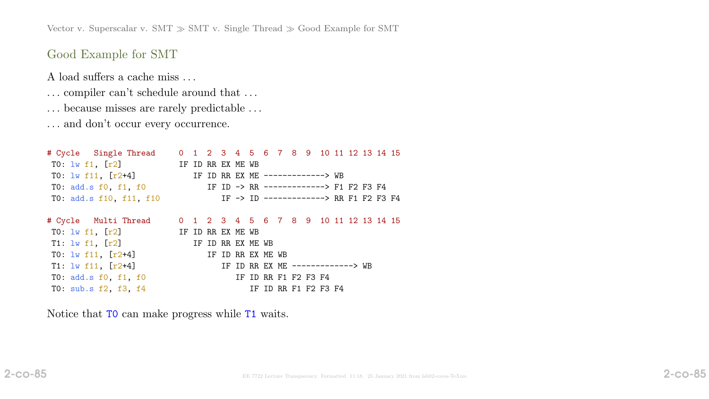Vector v. Superscalar v. SMT  $\gg$  SMT v. Single Thread  $\gg$  Good Example for SMT

# Good Example for SMT

A load suffers a cache miss . . .

- $\ldots$  compiler can't schedule around that  $\ldots$
- $\ldots$  because misses are rarely predictable  $\ldots$

. . . and don't occur every occurrence.

| TO: $1w$ f11, $[r2+4]$ |  |  |                                                                                                                     |                   |                   |  |                      |                                                          |                                  |                                                                                                                                                                    |
|------------------------|--|--|---------------------------------------------------------------------------------------------------------------------|-------------------|-------------------|--|----------------------|----------------------------------------------------------|----------------------------------|--------------------------------------------------------------------------------------------------------------------------------------------------------------------|
|                        |  |  |                                                                                                                     |                   |                   |  |                      |                                                          |                                  |                                                                                                                                                                    |
|                        |  |  |                                                                                                                     |                   |                   |  |                      |                                                          |                                  |                                                                                                                                                                    |
|                        |  |  |                                                                                                                     |                   |                   |  |                      |                                                          |                                  |                                                                                                                                                                    |
|                        |  |  |                                                                                                                     |                   |                   |  |                      |                                                          |                                  |                                                                                                                                                                    |
|                        |  |  |                                                                                                                     |                   |                   |  |                      |                                                          |                                  |                                                                                                                                                                    |
|                        |  |  |                                                                                                                     |                   |                   |  |                      |                                                          |                                  |                                                                                                                                                                    |
|                        |  |  |                                                                                                                     |                   |                   |  |                      |                                                          |                                  |                                                                                                                                                                    |
|                        |  |  |                                                                                                                     |                   |                   |  |                      |                                                          |                                  |                                                                                                                                                                    |
|                        |  |  |                                                                                                                     |                   |                   |  |                      |                                                          |                                  |                                                                                                                                                                    |
|                        |  |  |                                                                                                                     |                   |                   |  |                      |                                                          |                                  |                                                                                                                                                                    |
|                        |  |  | TO: $\frac{1}{1}$ $\frac{1}{1}$ , $\frac{1}{2}$ IF ID RR EX ME WB<br>TO: $\frac{1}{W}$ f1, $[r2]$ IF ID RR EX ME WB | IF ID RR EX ME WB | IF ID RR EX ME WB |  | IF ID RR F1 F2 F3 F4 | IF ID RR EX ME -------------> WB<br>IF ID RR F1 F2 F3 F4 | IF ID RR EX ME -------------> WB | 0 1 2 3 4 5 6 7 8 9 10 11 12 13 14 15<br>IF ID -> RR -------------> F1 F2 F3 F4<br>IF -> ID -------------> RR F1 F2 F3 F4<br>0 1 2 3 4 5 6 7 8 9 10 11 12 13 14 15 |

Notice that T0 can make progress while T1 waits.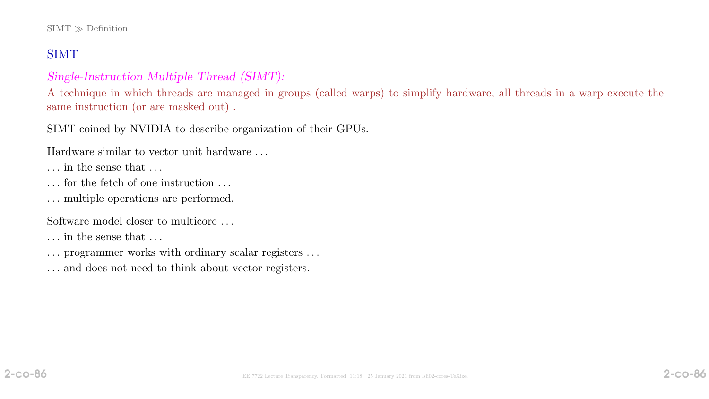# SIMT

# Single-Instruction Multiple Thread (SIMT):

A technique in which threads are managed in groups (called warps) to simplify hardware, all threads in a warp execute the same instruction (or are masked out) .

SIMT coined by NVIDIA to describe organization of their GPUs.

Hardware similar to vector unit hardware . . .

- . . . in the sense that . . .
- . . . for the fetch of one instruction . . .
- . . . multiple operations are performed.

Software model closer to multicore . . .

- . . . in the sense that . . .
- . . . programmer works with ordinary scalar registers . . .
- . . . and does not need to think about vector registers.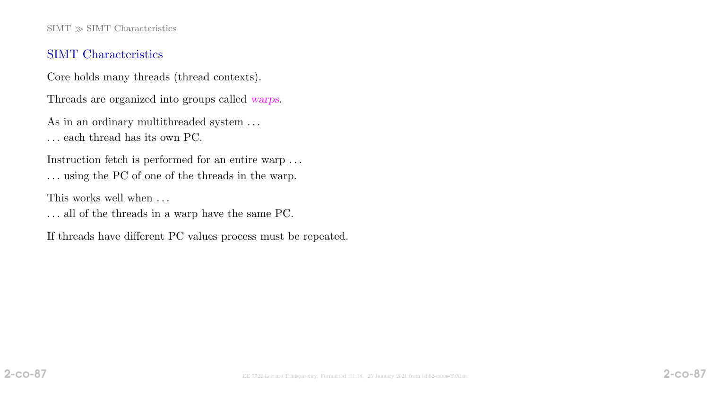$SIMT \gg SIMT$  Characteristics

### SIMT Characteristics

Core holds many threads (thread contexts).

Threads are organized into groups called warps.

As in an ordinary multithreaded system  $\ldots$ 

. . . each thread has its own PC.

Instruction fetch is performed for an entire warp . . . . . . using the PC of one of the threads in the warp.

This works well when  $\dots$ 

. . . all of the threads in a warp have the same PC.

If threads have different PC values process must be repeated.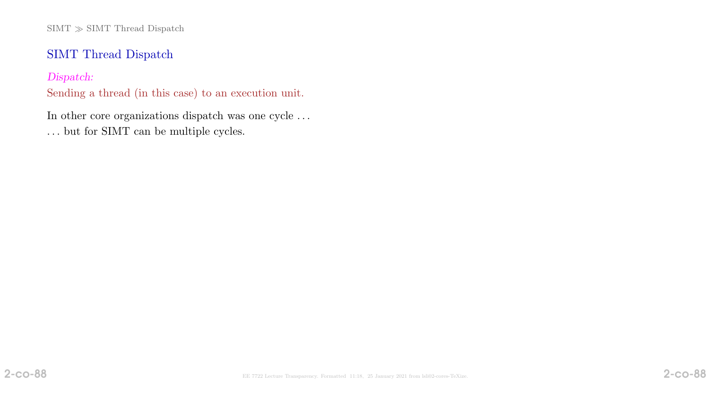$\mathrm{SIMT}\gg \mathrm{SIMT}$  Thread Dispatch

# SIMT Thread Dispatch

Dispatch:

Sending a thread (in this case) to an execution unit.

In other core organizations dispatch was one cycle . . .

. . . but for SIMT can be multiple cycles.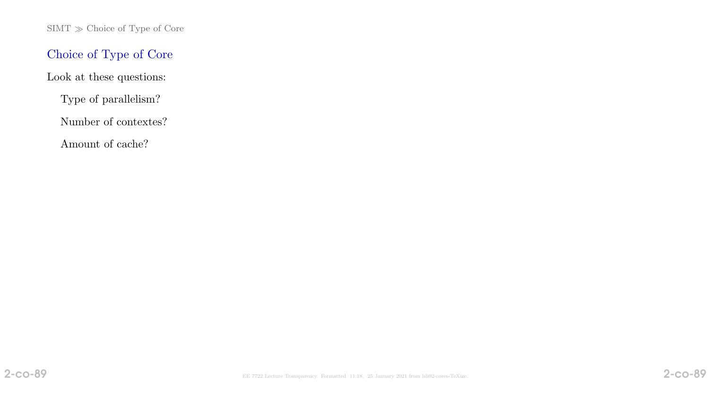$\mathrm{SIMT}\gg \mathrm{Choice}$  of Type of Core

# Choice of Type of Core

Look at these questions:

Type of parallelism?

Number of contextes?

Amount of cache?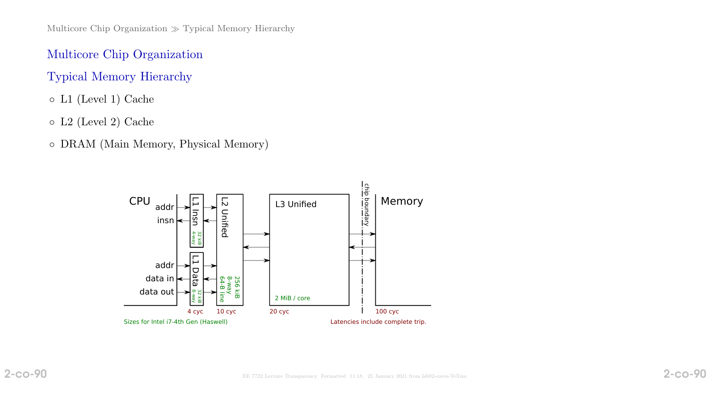# Multicore Chip Organization

# Typical Memory Hierarchy

- L1 (Level 1) Cache
- L2 (Level 2) Cache
- DRAM (Main Memory, Physical Memory)

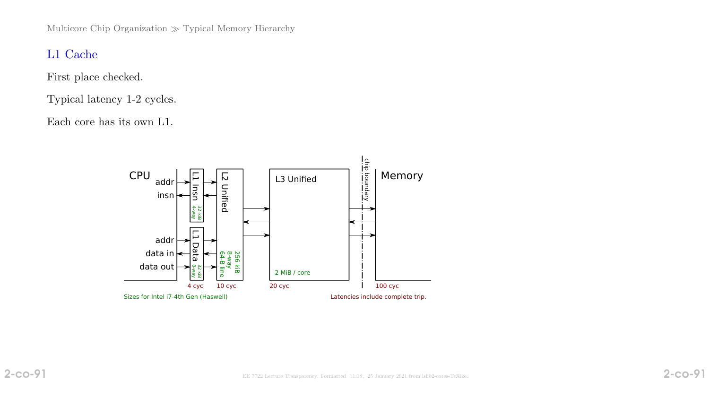Multicore Chip Organization  $\gg$  Typical Memory Hierarchy

# L1 Cache

First place checked.

Typical latency 1-2 cycles.

Each core has its own L1.

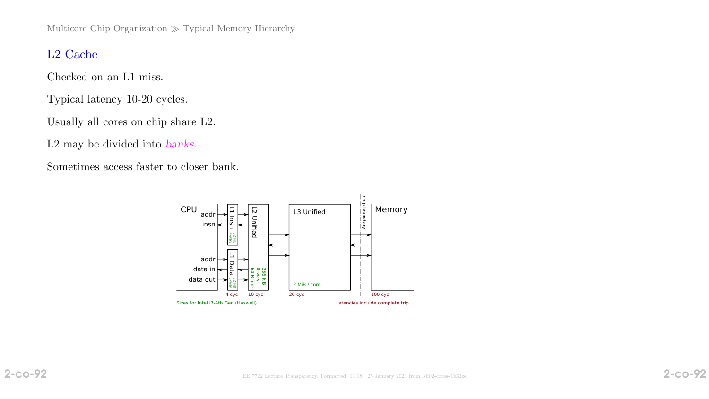Multicore Chip Organization  $\gg$  Typical Memory Hierarchy

# L2 Cache

Checked on an L1 miss.

Typical latency 10-20 cycles.

Usually all cores on chip share L2.

L2 may be divided into banks.

Sometimes access faster to closer bank.

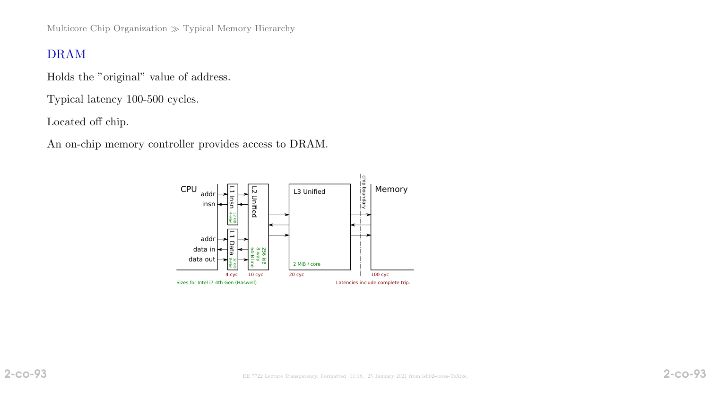Multicore Chip Organization  $\gg$  Typical Memory Hierarchy

# DRAM

Holds the "original" value of address.

Typical latency 100-500 cycles.

Located off chip.

An on-chip memory controller provides access to DRAM.

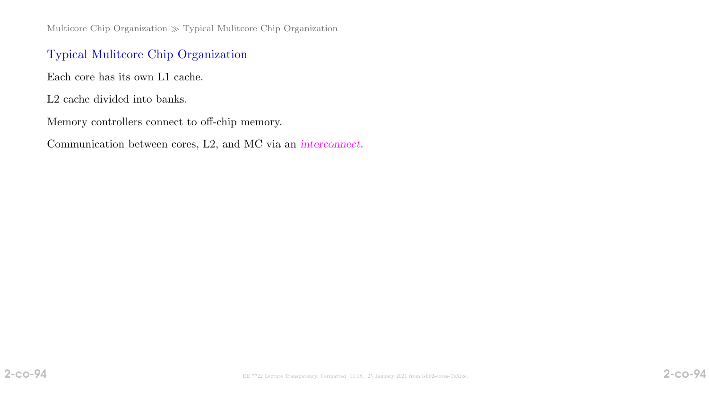Multicore Chip Organization  $\gg$  Typical Multicore Chip Organization

# Typical Mulitcore Chip Organization

Each core has its own L1 cache.

L2 cache divided into banks.

Memory controllers connect to off-chip memory.

Communication between cores, L2, and MC via an interconnect.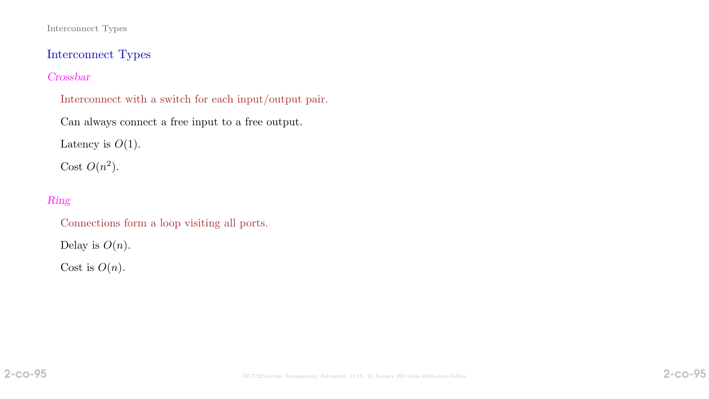#### Interconnect Types

Interconnect Types

## Crossbar

- Interconnect with a switch for each input/output pair.
- Can always connect a free input to a free output.

Latency is  $O(1)$ .

Cost  $O(n^2)$ .

# Ring

- Connections form a loop visiting all ports.
- Delay is  $O(n)$ .

Cost is  $O(n)$ .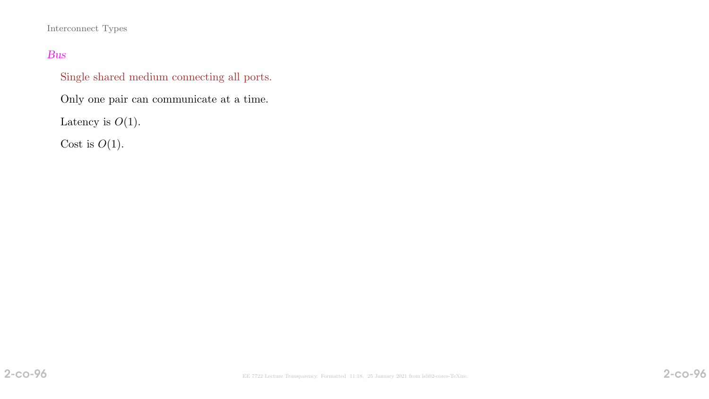#### Interconnect Types

#### Bus

Single shared medium connecting all ports.

Only one pair can communicate at a time.

Latency is  $O(1)$ .

Cost is  $O(1)$ .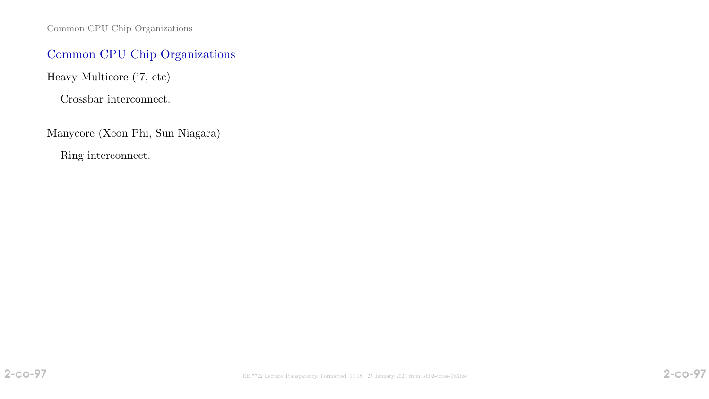Common CPU Chip Organizations

# Common CPU Chip Organizations

Heavy Multicore (i7, etc)

Crossbar interconnect.

Manycore (Xeon Phi, Sun Niagara)

Ring interconnect.